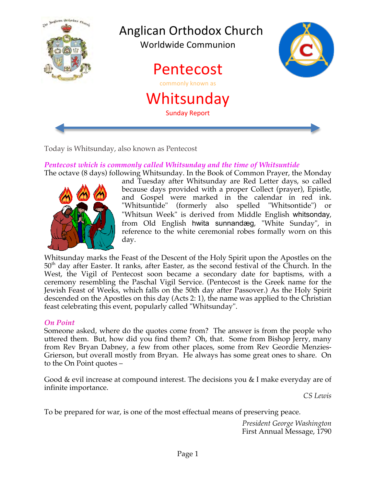

Today is Whitsunday, also known as Pentecost

# *Pentecost which is commonly called Whitsunday and the time of Whitsuntide*



The octave (8 days) following Whitsunday. In the Book of Common Prayer, the Monday and Tuesday after Whitsunday are Red Letter days, so called because days provided with a proper Collect (prayer), Epistle, and Gospel were marked in the calendar in red ink. "Whitsuntide" (formerly also spelled "Whitsontide") or "Whitsun Week" is derived from Middle English whitsonday, from Old English hwita sunnandæg, "White Sunday", in reference to the white ceremonial robes formally worn on this day.

Whitsunday marks the Feast of the Descent of the Holy Spirit upon the Apostles on the 50<sup>th</sup> day after Easter. It ranks, after Easter, as the second festival of the Church. In the West, the Vigil of Pentecost soon became a secondary date for baptisms, with a ceremony resembling the Paschal Vigil Service. (Pentecost is the Greek name for the Jewish Feast of Weeks, which falls on the 50th day after Passover.) As the Holy Spirit descended on the Apostles on this day (Acts 2: 1), the name was applied to the Christian feast celebrating this event, popularly called "Whitsunday".

### *On Point*

Someone asked, where do the quotes come from? The answer is from the people who uttered them. But, how did you find them? Oh, that. Some from Bishop Jerry, many from Rev Bryan Dabney, a few from other places, some from Rev Geordie Menzies-Grierson, but overall mostly from Bryan. He always has some great ones to share. On to the On Point quotes –

Good & evil increase at compound interest. The decisions you & I make everyday are of infinite importance.

*CS Lewis*

To be prepared for war, is one of the most effectual means of preserving peace.

*President George Washington* First Annual Message, 1790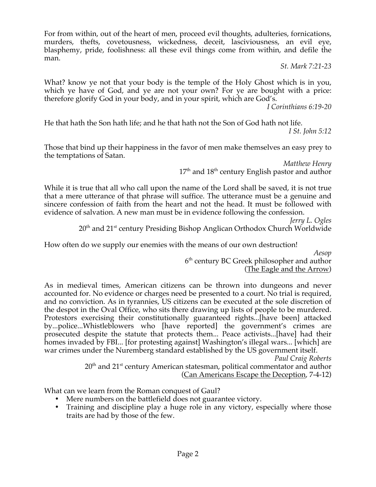For from within, out of the heart of men, proceed evil thoughts, adulteries, fornications, murders, thefts, covetousness, wickedness, deceit, lasciviousness, an evil eye, blasphemy, pride, foolishness: all these evil things come from within, and defile the man.

*St. Mark 7:21-23*

What? know ye not that your body is the temple of the Holy Ghost which is in you, which ye have of God, and ye are not your own? For ye are bought with a price: therefore glorify God in your body, and in your spirit, which are God's.

*I Corinthians 6:19-20*

He that hath the Son hath life; and he that hath not the Son of God hath not life. *I St. John 5:12*

Those that bind up their happiness in the favor of men make themselves an easy prey to the temptations of Satan.

*Matthew Henry*  $17<sup>th</sup>$  and  $18<sup>th</sup>$  century English pastor and author

While it is true that all who call upon the name of the Lord shall be saved, it is not true that a mere utterance of that phrase will suffice. The utterance must be a genuine and sincere confession of faith from the heart and not the head. It must be followed with evidence of salvation. A new man must be in evidence following the confession.

*Jerry L. Ogles*

20<sup>th</sup> and 21<sup>st</sup> century Presiding Bishop Anglican Orthodox Church Worldwide

How often do we supply our enemies with the means of our own destruction!

*Aesop* 6<sup>th</sup> century BC Greek philosopher and author (The Eagle and the Arrow)

As in medieval times, American citizens can be thrown into dungeons and never accounted for. No evidence or charges need be presented to a court. No trial is required, and no conviction. As in tyrannies, US citizens can be executed at the sole discretion of the despot in the Oval Office, who sits there drawing up lists of people to be murdered. Protestors exercising their constitutionally guaranteed rights...[have been] attacked by...police...Whistleblowers who [have reported] the government's crimes are prosecuted despite the statute that protects them... Peace activists...[have] had their homes invaded by FBI... [for protesting against] Washington's illegal wars... [which] are war crimes under the Nuremberg standard established by the US government itself.

*Paul Craig Roberts* 20<sup>th</sup> and 21<sup>st</sup> century American statesman, political commentator and author (Can Americans Escape the Deception, 7-4-12)

What can we learn from the Roman conquest of Gaul?

- Mere numbers on the battlefield does not guarantee victory.
- Training and discipline play a huge role in any victory, especially where those traits are had by those of the few.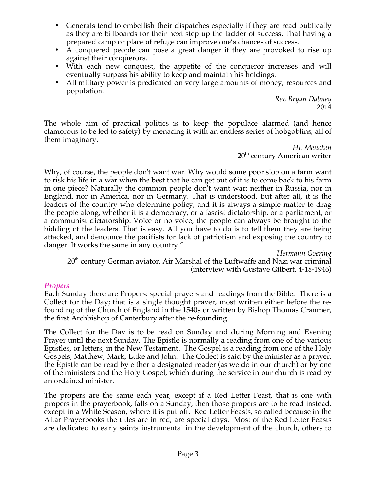- Generals tend to embellish their dispatches especially if they are read publically as they are billboards for their next step up the ladder of success. That having a prepared camp or place of refuge can improve one's chances of success.
- A conquered people can pose a great danger if they are provoked to rise up against their conquerors.
- With each new conquest, the appetite of the conqueror increases and will eventually surpass his ability to keep and maintain his holdings.
- All military power is predicated on very large amounts of money, resources and population.

*Rev Bryan Dabney* 2014

The whole aim of practical politics is to keep the populace alarmed (and hence clamorous to be led to safety) by menacing it with an endless series of hobgoblins, all of them imaginary.

*HL Mencken* 20<sup>th</sup> century American writer

Why, of course, the people don't want war. Why would some poor slob on a farm want to risk his life in a war when the best that he can get out of it is to come back to his farm in one piece? Naturally the common people don't want war; neither in Russia, nor in England, nor in America, nor in Germany. That is understood. But after all, it is the leaders of the country who determine policy, and it is always a simple matter to drag the people along, whether it is a democracy, or a fascist dictatorship, or a parliament, or a communist dictatorship. Voice or no voice, the people can always be brought to the bidding of the leaders. That is easy. All you have to do is to tell them they are being attacked, and denounce the pacifists for lack of patriotism and exposing the country to danger. It works the same in any country."

*Hermann Goering*

 $20<sup>th</sup>$  century German aviator, Air Marshal of the Luftwaffe and Nazi war criminal (interview with Gustave Gilbert, 4-18-1946)

### *Propers*

Each Sunday there are Propers: special prayers and readings from the Bible. There is a Collect for the Day; that is a single thought prayer, most written either before the refounding of the Church of England in the 1540s or written by Bishop Thomas Cranmer, the first Archbishop of Canterbury after the re-founding.

The Collect for the Day is to be read on Sunday and during Morning and Evening Prayer until the next Sunday. The Epistle is normally a reading from one of the various Epistles, or letters, in the New Testament. The Gospel is a reading from one of the Holy Gospels, Matthew, Mark, Luke and John. The Collect is said by the minister as a prayer, the Epistle can be read by either a designated reader (as we do in our church) or by one of the ministers and the Holy Gospel, which during the service in our church is read by an ordained minister.

The propers are the same each year, except if a Red Letter Feast, that is one with propers in the prayerbook, falls on a Sunday, then those propers are to be read instead, except in a White Season, where it is put off. Red Letter Feasts, so called because in the Altar Prayerbooks the titles are in red, are special days. Most of the Red Letter Feasts are dedicated to early saints instrumental in the development of the church, others to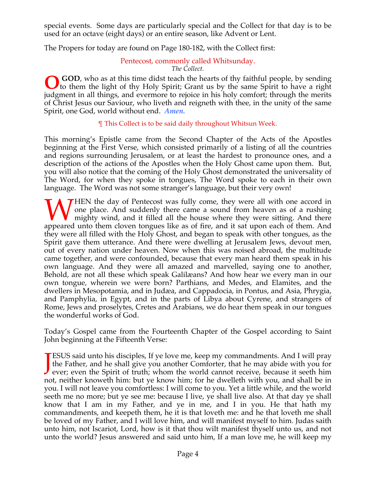special events. Some days are particularly special and the Collect for that day is to be used for an octave (eight days) or an entire season, like Advent or Lent.

The Propers for today are found on Page 180-182, with the Collect first:

## Pentecost, commonly called Whitsunday.

#### *The Collect.*

**GOD**, who as at this time didst teach the hearts of thy faithful people, by sending **O** GOD, who as at this time didst teach the hearts of thy faithful people, by sending to them the light of thy Holy Spirit; Grant us by the same Spirit to have a right judgment in all things, and evermore to rejoice in his holy comfort; through the merits of Christ Jesus our Saviour, who liveth and reigneth with thee, in the unity of the same Spirit, one God, world without end. *Amen.*

### ¶ This Collect is to be said daily throughout Whitsun Week.

This morning's Epistle came from the Second Chapter of the Acts of the Apostles beginning at the First Verse, which consisted primarily of a listing of all the countries and regions surrounding Jerusalem, or at least the hardest to pronounce ones, and a description of the actions of the Apostles when the Holy Ghost came upon them. But, you will also notice that the coming of the Holy Ghost demonstrated the universality of The Word, for when they spoke in tongues, The Word spoke to each in their own language. The Word was not some stranger's language, but their very own!

**THEN** the day of Pentecost was fully come, they were all with one accord in one place. And suddenly there came a sound from heaven as of a rushing mighty wind, and it filled all the house where they were sitting. And there WHEN the day of Pentecost was fully come, they were all with one accord in one place. And suddenly there came a sound from heaven as of a rushing mighty wind, and it filled all the house where they were sitting. And there they were all filled with the Holy Ghost, and began to speak with other tongues, as the Spirit gave them utterance. And there were dwelling at Jerusalem Jews, devout men, out of every nation under heaven. Now when this was noised abroad, the multitude came together, and were confounded, because that every man heard them speak in his own language. And they were all amazed and marvelled, saying one to another, Behold, are not all these which speak Galilæans? And how hear we every man in our own tongue, wherein we were born? Parthians, and Medes, and Elamites, and the dwellers in Mesopotamia, and in Judæa, and Cappadocia, in Pontus, and Asia, Phrygia, and Pamphylia, in Egypt, and in the parts of Libya about Cyrene, and strangers of Rome, Jews and proselytes, Cretes and Arabians, we do hear them speak in our tongues the wonderful works of God.

Today's Gospel came from the Fourteenth Chapter of the Gospel according to Saint John beginning at the Fifteenth Verse:

ESUS said unto his disciples, If ye love me, keep my commandments. And I will pray the Father, and he shall give you another Comforter, that he may abide with you for **JESUS** said unto his disciples, If ye love me, keep my commandments. And I will pray the Father, and he shall give you another Comforter, that he may abide with you for ever; even the Spirit of truth; whom the world canno not, neither knoweth him: but ye know him; for he dwelleth with you, and shall be in you. I will not leave you comfortless: I will come to you. Yet a little while, and the world seeth me no more; but ye see me: because I live, ye shall live also. At that day ye shall know that I am in my Father, and ye in me, and I in you. He that hath my commandments, and keepeth them, he it is that loveth me: and he that loveth me shall be loved of my Father, and I will love him, and will manifest myself to him. Judas saith unto him, not Iscariot, Lord, how is it that thou wilt manifest thyself unto us, and not unto the world? Jesus answered and said unto him, If a man love me, he will keep my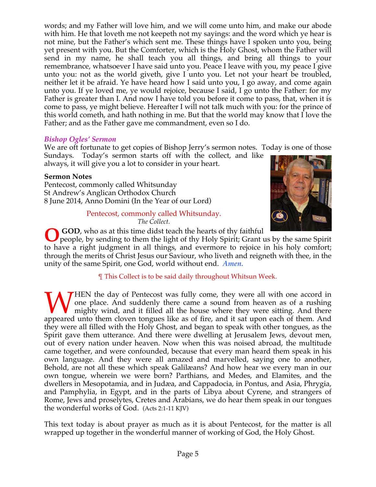words; and my Father will love him, and we will come unto him, and make our abode with him. He that loveth me not keepeth not my sayings: and the word which ye hear is not mine, but the Father's which sent me. These things have I spoken unto you, being yet present with you. But the Comforter, which is the Holy Ghost, whom the Father will send in my name, he shall teach you all things, and bring all things to your remembrance, whatsoever I have said unto you. Peace I leave with you, my peace I give unto you: not as the world giveth, give I unto you. Let not your heart be troubled, neither let it be afraid. Ye have heard how I said unto you, I go away, and come again unto you. If ye loved me, ye would rejoice, because I said, I go unto the Father: for my Father is greater than I. And now I have told you before it come to pass, that, when it is come to pass, ye might believe. Hereafter I will not talk much with you: for the prince of this world cometh, and hath nothing in me. But that the world may know that I love the Father; and as the Father gave me commandment, even so I do.

### *Bishop Ogles' Sermon*

We are oft fortunate to get copies of Bishop Jerry's sermon notes. Today is one of those

Sundays. Today's sermon starts off with the collect, and like always, it will give you a lot to consider in your heart.

### **Sermon Notes**

Pentecost, commonly called Whitsunday St Andrew's Anglican Orthodox Church 8 June 2014, Anno Domini (In the Year of our Lord)

#### Pentecost, commonly called Whitsunday. *The Collect.*



 **GOD**, who as at this time didst teach the hearts of thy faithful

people, by sending to them the light of thy Holy Spirit; Grant us by the same Spirit to have a right judgment in all things, and evermore to rejoice in his holy comfort; through the merits of Christ Jesus our Saviour, who liveth and reigneth with thee, in the unity of the same Spirit, one God, world without end. *Amen.* **O**

### ¶ This Collect is to be said daily throughout Whitsun Week.

THEN the day of Pentecost was fully come, they were all with one accord in one place. And suddenly there came a sound from heaven as of a rushing mighty wind, and it filled all the house where they were sitting. And there WHEN the day of Pentecost was fully come, they were all with one accord in one place. And suddenly there came a sound from heaven as of a rushing mighty wind, and it filled all the house where they were sitting. And there they were all filled with the Holy Ghost, and began to speak with other tongues, as the Spirit gave them utterance. And there were dwelling at Jerusalem Jews, devout men, out of every nation under heaven. Now when this was noised abroad, the multitude came together, and were confounded, because that every man heard them speak in his own language. And they were all amazed and marvelled, saying one to another, Behold, are not all these which speak Galilæans? And how hear we every man in our own tongue, wherein we were born? Parthians, and Medes, and Elamites, and the dwellers in Mesopotamia, and in Judæa, and Cappadocia, in Pontus, and Asia, Phrygia, and Pamphylia, in Egypt, and in the parts of Libya about Cyrene, and strangers of Rome, Jews and proselytes, Cretes and Arabians, we do hear them speak in our tongues the wonderful works of God. (Acts 2:1-11 KJV)

This text today is about prayer as much as it is about Pentecost, for the matter is all wrapped up together in the wonderful manner of working of God, the Holy Ghost.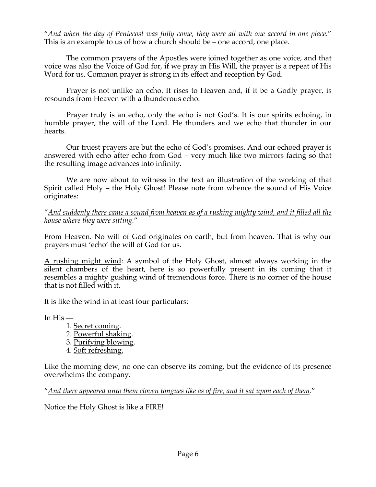"*And when the day of Pentecost was fully come, they were all with one accord in one place.*" This is an example to us of how a church should be – one accord, one place.

The common prayers of the Apostles were joined together as one voice, and that voice was also the Voice of God for, if we pray in His Will, the prayer is a repeat of His Word for us. Common prayer is strong in its effect and reception by God.

Prayer is not unlike an echo. It rises to Heaven and, if it be a Godly prayer, is resounds from Heaven with a thunderous echo.

Prayer truly is an echo, only the echo is not God's. It is our spirits echoing, in humble prayer, the will of the Lord. He thunders and we echo that thunder in our hearts.

Our truest prayers are but the echo of God's promises. And our echoed prayer is answered with echo after echo from God – very much like two mirrors facing so that the resulting image advances into infinity.

We are now about to witness in the text an illustration of the working of that Spirit called Holy – the Holy Ghost! Please note from whence the sound of His Voice originates:

"*And suddenly there came a sound from heaven as of a rushing mighty wind, and it filled all the house where they were sitting.*"

From Heaven. No will of God originates on earth, but from heaven. That is why our prayers must 'echo' the will of God for us.

A rushing might wind: A symbol of the Holy Ghost, almost always working in the silent chambers of the heart, here is so powerfully present in its coming that it resembles a mighty gushing wind of tremendous force. There is no corner of the house that is not filled with it.

It is like the wind in at least four particulars:

In His —

- 1. Secret coming. 2. Powerful shaking. 3. Purifying blowing.
- 4. Soft refreshing.

Like the morning dew, no one can observe its coming, but the evidence of its presence overwhelms the company.

"*And there appeared unto them cloven tongues like as of fire, and it sat upon each of them.*"

Notice the Holy Ghost is like a FIRE!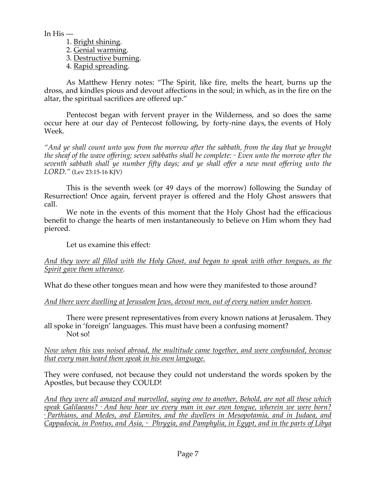In His —

- 1. Bright shining.
- 2. Genial warming.
- 3. Destructive burning.
- 4. Rapid spreading.

As Matthew Henry notes: "The Spirit, like fire, melts the heart, burns up the dross, and kindles pious and devout affections in the soul; in which, as in the fire on the altar, the spiritual sacrifices are offered up."

Pentecost began with fervent prayer in the Wilderness, and so does the same occur here at our day of Pentecost following, by forty-nine days, the events of Holy Week.

*"And ye shall count unto you from the morrow after the sabbath, from the day that ye brought the sheaf of the wave offering; seven sabbaths shall be complete: 16 Even unto the morrow after the seventh sabbath shall ye number fifty days; and ye shall offer a new meat offering unto the LORD."* (Lev 23:15-16 KJV)

This is the seventh week (or 49 days of the morrow) following the Sunday of Resurrection! Once again, fervent prayer is offered and the Holy Ghost answers that call.

We note in the events of this moment that the Holy Ghost had the efficacious benefit to change the hearts of men instantaneously to believe on Him whom they had pierced.

Let us examine this effect:

### *And they were all filled with the Holy Ghost, and began to speak with other tongues, as the Spirit gave them utterance.*

What do these other tongues mean and how were they manifested to those around?

*And there were dwelling at Jerusalem Jews, devout men, out of every nation under heaven.*

There were present representatives from every known nations at Jerusalem. They all spoke in 'foreign' languages. This must have been a confusing moment? Not so!

*Now when this was noised abroad, the multitude came together, and were confounded, because that every man heard them speak in his own language.*

They were confused, not because they could not understand the words spoken by the Apostles, but because they COULD!

*And they were all amazed and marvelled, saying one to another, Behold, are not all these which*  <sup>*s*</sup> Parthians, and Medes, and Elamites, and the dwellers in Mesopotamia, and in Judaea, and *Cappadocia, in Pontus, and Asia, 10 Phrygia, and Pamphylia, in Egypt, and in the parts of Libya*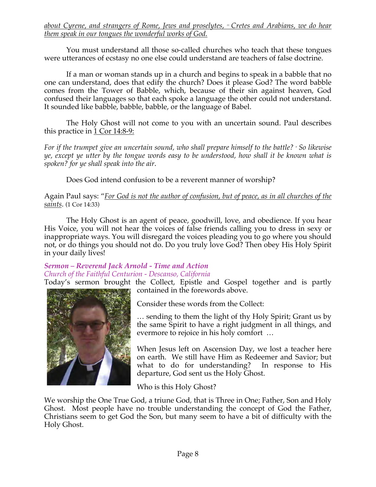*about Cyrene, and strangers of Rome, Jews and proselytes, 11 Cretes and Arabians, we do hear them speak in our tongues the wonderful works of God.*

You must understand all those so-called churches who teach that these tongues were utterances of ecstasy no one else could understand are teachers of false doctrine.

If a man or woman stands up in a church and begins to speak in a babble that no one can understand, does that edify the church? Does it please God? The word babble comes from the Tower of Babble, which, because of their sin against heaven, God confused their languages so that each spoke a language the other could not understand. It sounded like babble, babble, babble, or the language of Babel.

The Holy Ghost will not come to you with an uncertain sound. Paul describes this practice in 1 Cor 14:8-9:

*For if the trumpet give an uncertain sound, who shall prepare himself to the battle? 9 So likewise ye, except ye utter by the tongue words easy to be understood, how shall it be known what is spoken? for ye shall speak into the air*.

Does God intend confusion to be a reverent manner of worship?

Again Paul says: "*For God is not the author of confusion, but of peace, as in all churches of the saints*. (1 Cor 14:33)

The Holy Ghost is an agent of peace, goodwill, love, and obedience. If you hear His Voice, you will not hear the voices of false friends calling you to dress in sexy or inappropriate ways. You will disregard the voices pleading you to go where you should not, or do things you should not do. Do you truly love God? Then obey His Holy Spirit in your daily lives!

# *Sermon – Reverend Jack Arnold - Time and Action Church of the Faithful Centurion - Descanso, California*

Today's sermon brought the Collect, Epistle and Gospel together and is partly contained in the forewords above.



Consider these words from the Collect:

… sending to them the light of thy Holy Spirit; Grant us by the same Spirit to have a right judgment in all things, and evermore to rejoice in his holy comfort …

When Jesus left on Ascension Day, we lost a teacher here on earth. We still have Him as Redeemer and Savior; but what to do for understanding? In response to His departure, God sent us the Holy Ghost.

Who is this Holy Ghost?

We worship the One True God, a triune God, that is Three in One; Father, Son and Holy Ghost. Most people have no trouble understanding the concept of God the Father, Christians seem to get God the Son, but many seem to have a bit of difficulty with the Holy Ghost.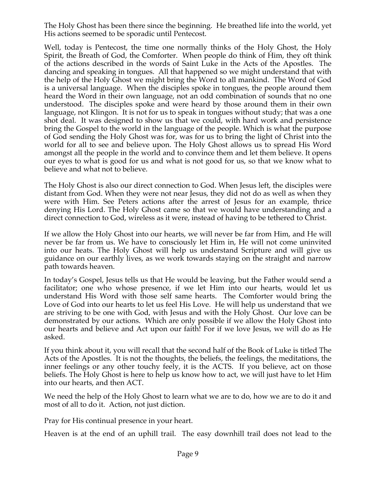The Holy Ghost has been there since the beginning. He breathed life into the world, yet His actions seemed to be sporadic until Pentecost.

Well, today is Pentecost, the time one normally thinks of the Holy Ghost, the Holy Spirit, the Breath of God, the Comforter. When people do think of Him, they oft think of the actions described in the words of Saint Luke in the Acts of the Apostles. The dancing and speaking in tongues. All that happened so we might understand that with the help of the Holy Ghost we might bring the Word to all mankind. The Word of God is a universal language. When the disciples spoke in tongues, the people around them heard the Word in their own language, not an odd combination of sounds that no one understood. The disciples spoke and were heard by those around them in their own language, not Klingon. It is not for us to speak in tongues without study; that was a one shot deal. It was designed to show us that we could, with hard work and persistence bring the Gospel to the world in the language of the people. Which is what the purpose of God sending the Holy Ghost was for, was for us to bring the light of Christ into the world for all to see and believe upon. The Holy Ghost allows us to spread His Word amongst all the people in the world and to convince them and let them believe. It opens our eyes to what is good for us and what is not good for us, so that we know what to believe and what not to believe.

The Holy Ghost is also our direct connection to God. When Jesus left, the disciples were distant from God. When they were not near Jesus, they did not do as well as when they were with Him. See Peters actions after the arrest of Jesus for an example, thrice denying His Lord. The Holy Ghost came so that we would have understanding and a direct connection to God, wireless as it were, instead of having to be tethered to Christ.

If we allow the Holy Ghost into our hearts, we will never be far from Him, and He will never be far from us. We have to consciously let Him in, He will not come uninvited into our heats. The Holy Ghost will help us understand Scripture and will give us guidance on our earthly lives, as we work towards staying on the straight and narrow path towards heaven.

In today's Gospel, Jesus tells us that He would be leaving, but the Father would send a facilitator; one who whose presence, if we let Him into our hearts, would let us understand His Word with those self same hearts. The Comforter would bring the Love of God into our hearts to let us feel His Love. He will help us understand that we are striving to be one with God, with Jesus and with the Holy Ghost. Our love can be demonstrated by our actions. Which are only possible if we allow the Holy Ghost into our hearts and believe and Act upon our faith! For if we love Jesus, we will do as He asked.

If you think about it, you will recall that the second half of the Book of Luke is titled The Acts of the Apostles. It is not the thoughts, the beliefs, the feelings, the meditations, the inner feelings or any other touchy feely, it is the ACTS. If you believe, act on those beliefs. The Holy Ghost is here to help us know how to act, we will just have to let Him into our hearts, and then ACT.

We need the help of the Holy Ghost to learn what we are to do, how we are to do it and most of all to do it. Action, not just diction.

Pray for His continual presence in your heart.

Heaven is at the end of an uphill trail. The easy downhill trail does not lead to the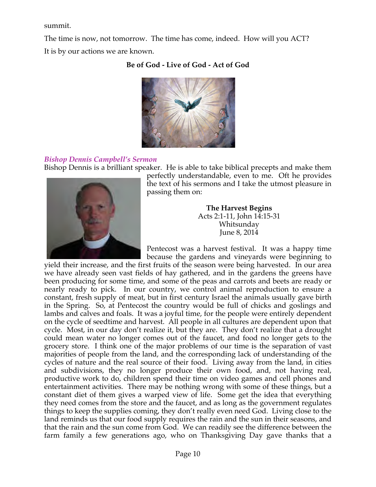summit.

The time is now, not tomorrow. The time has come, indeed. How will you ACT? It is by our actions we are known.

## **Be of God - Live of God - Act of God**



## *Bishop Dennis Campbell's Sermon*

Bishop Dennis is a brilliant speaker. He is able to take biblical precepts and make them



perfectly understandable, even to me. Oft he provides the text of his sermons and I take the utmost pleasure in passing them on:

> **The Harvest Begins** Acts 2:1-11, John 14:15-31 Whitsunday June 8, 2014

Pentecost was a harvest festival. It was a happy time because the gardens and vineyards were beginning to

yield their increase, and the first fruits of the season were being harvested. In our area we have already seen vast fields of hay gathered, and in the gardens the greens have been producing for some time, and some of the peas and carrots and beets are ready or nearly ready to pick. In our country, we control animal reproduction to ensure a constant, fresh supply of meat, but in first century Israel the animals usually gave birth in the Spring. So, at Pentecost the country would be full of chicks and goslings and lambs and calves and foals. It was a joyful time, for the people were entirely dependent on the cycle of seedtime and harvest. All people in all cultures are dependent upon that cycle. Most, in our day don't realize it, but they are. They don't realize that a drought could mean water no longer comes out of the faucet, and food no longer gets to the grocery store. I think one of the major problems of our time is the separation of vast majorities of people from the land, and the corresponding lack of understanding of the cycles of nature and the real source of their food. Living away from the land, in cities and subdivisions, they no longer produce their own food, and, not having real, productive work to do, children spend their time on video games and cell phones and entertainment activities. There may be nothing wrong with some of these things, but a constant diet of them gives a warped view of life. Some get the idea that everything they need comes from the store and the faucet, and as long as the government regulates things to keep the supplies coming, they don't really even need God. Living close to the land reminds us that our food supply requires the rain and the sun in their seasons, and that the rain and the sun come from God. We can readily see the difference between the farm family a few generations ago, who on Thanksgiving Day gave thanks that a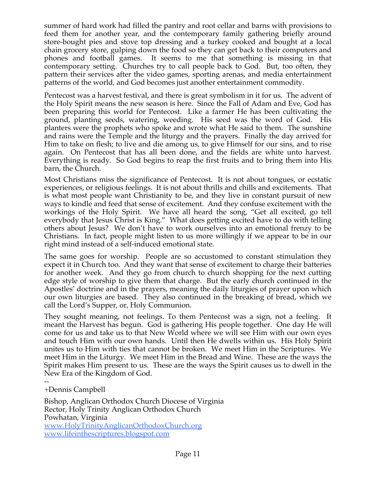summer of hard work had filled the pantry and root cellar and barns with provisions to feed them for another year, and the contemporary family gathering briefly around store-bought pies and stove top dressing and a turkey cooked and bought at a local chain grocery store, gulping down the food so they can get back to their computers and phones and football games. It seems to me that something is missing in that contemporary setting. Churches try to call people back to God. But, too often, they pattern their services after the video games, sporting arenas, and media entertainment patterns of the world, and God becomes just another entertainment commodity.

Pentecost was a harvest festival, and there is great symbolism in it for us. The advent of the Holy Spirit means the new season is here. Since the Fall of Adam and Eve, God has been preparing this world for Pentecost. Like a farmer He has been cultivating the ground, planting seeds, watering, weeding. His seed was the word of God. His planters were the prophets who spoke and wrote what He said to them. The sunshine and rains were the Temple and the liturgy and the prayers. Finally the day arrived for Him to take on flesh; to live and die among us, to give Himself for our sins, and to rise again. On Pentecost that has all been done, and the fields are white unto harvest. Everything is ready. So God begins to reap the first fruits and to bring them into His barn, the Church.

Most Christians miss the significance of Pentecost. It is not about tongues, or ecstatic experiences, or religious feelings. It is not about thrills and chills and excitements. That is what most people want Christianity to be, and they live in constant pursuit of new ways to kindle and feed that sense of excitement. And they confuse excitement with the workings of the Holy Spirit. We have all heard the song, "Get all excited, go tell everybody that Jesus Christ is King." What does getting excited have to do with telling others about Jesus? We don't have to work ourselves into an emotional frenzy to be Christians. In fact, people might listen to us more willingly if we appear to be in our right mind instead of a self-induced emotional state.

The same goes for worship. People are so accustomed to constant stimulation they expect it in Church too. And they want that sense of excitement to charge their batteries for another week. And they go from church to church shopping for the next cutting edge style of worship to give them that charge. But the early church continued in the Apostles' doctrine and in the prayers, meaning the daily liturgies of prayer upon which our own liturgies are based. They also continued in the breaking of bread, which we call the Lord's Supper, or, Holy Communion.

They sought meaning, not feelings. To them Pentecost was a sign, not a feeling. It meant the Harvest has begun. God is gathering His people together. One day He will come for us and take us to that New World where we will see Him with our own eyes and touch Him with our own hands. Until then He dwells within us. His Holy Spirit unites us to Him with ties that cannot be broken. We meet Him in the Scriptures. We meet Him in the Liturgy. We meet Him in the Bread and Wine. These are the ways the Spirit makes Him present to us. These are the ways the Spirit causes us to dwell in the New Era of the Kingdom of God.

#### -- +Dennis Campbell

Bishop, Anglican Orthodox Church Diocese of Virginia Rector, Holy Trinity Anglican Orthodox Church Powhatan, Virginia www.HolyTrinityAnglicanOrthodoxChurch.org www.lifeinthescriptures.blogspot.com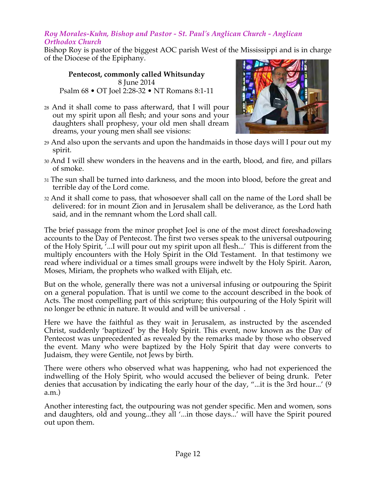#### *Roy Morales-Kuhn, Bishop and Pastor - St. Paul's Anglican Church - Anglican Orthodox Church*

Bishop Roy is pastor of the biggest AOC parish West of the Mississippi and is in charge of the Diocese of the Epiphany.

**Pentecost, commonly called Whitsunday** 8 June 2014 Psalm 68 • OT Joel 2:28-32 • NT Romans 8:1-11

28 And it shall come to pass afterward, that I will pour out my spirit upon all flesh; and your sons and your daughters shall prophesy, your old men shall dream dreams, your young men shall see visions:



- 29 And also upon the servants and upon the handmaids in those days will I pour out my spirit.
- 30 And I will shew wonders in the heavens and in the earth, blood, and fire, and pillars of smoke.
- 31 The sun shall be turned into darkness, and the moon into blood, before the great and terrible day of the Lord come.
- 32 And it shall come to pass, that whosoever shall call on the name of the Lord shall be delivered: for in mount Zion and in Jerusalem shall be deliverance, as the Lord hath said, and in the remnant whom the Lord shall call.

The brief passage from the minor prophet Joel is one of the most direct foreshadowing accounts to the Day of Pentecost. The first two verses speak to the universal outpouring of the Holy Spirit, '...I will pour out my spirit upon all flesh...' This is different from the multiply encounters with the Holy Spirit in the Old Testament. In that testimony we read where individual or a times small groups were indwelt by the Holy Spirit. Aaron, Moses, Miriam, the prophets who walked with Elijah, etc.

But on the whole, generally there was not a universal infusing or outpouring the Spirit on a general population. That is until we come to the account described in the book of Acts. The most compelling part of this scripture; this outpouring of the Holy Spirit will no longer be ethnic in nature. It would and will be universal .

Here we have the faithful as they wait in Jerusalem, as instructed by the ascended Christ, suddenly 'baptized' by the Holy Spirit. This event, now known as the Day of Pentecost was unprecedented as revealed by the remarks made by those who observed the event. Many who were baptized by the Holy Spirit that day were converts to Judaism, they were Gentile, not Jews by birth.

There were others who observed what was happening, who had not experienced the indwelling of the Holy Spirit, who would accused the believer of being drunk. Peter denies that accusation by indicating the early hour of the day, "...it is the 3rd hour...' (9 a.m.)

Another interesting fact, the outpouring was not gender specific. Men and women, sons and daughters, old and young...they all '...in those days...' will have the Spirit poured out upon them.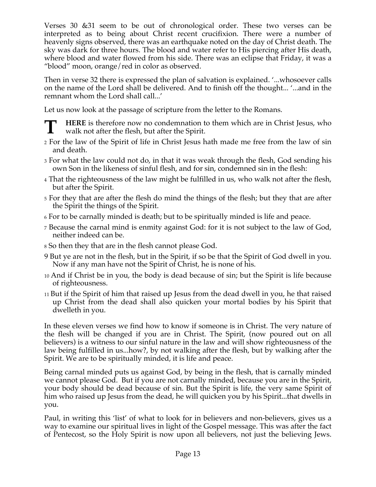Verses 30 &31 seem to be out of chronological order. These two verses can be interpreted as to being about Christ recent crucifixion. There were a number of heavenly signs observed, there was an earthquake noted on the day of Christ death. The sky was dark for three hours. The blood and water refer to His piercing after His death, where blood and water flowed from his side. There was an eclipse that Friday, it was a "blood" moon, orange/red in color as observed.

Then in verse 32 there is expressed the plan of salvation is explained. '...whosoever calls on the name of the Lord shall be delivered. And to finish off the thought... '...and in the remnant whom the Lord shall call...'

Let us now look at the passage of scripture from the letter to the Romans.

- **HERE** is therefore now no condemnation to them which are in Christ Jesus, who walk not after the flesh, but after the Spirit. **T**
- 2 For the law of the Spirit of life in Christ Jesus hath made me free from the law of sin and death.
- 3 For what the law could not do, in that it was weak through the flesh, God sending his own Son in the likeness of sinful flesh, and for sin, condemned sin in the flesh:
- 4 That the righteousness of the law might be fulfilled in us, who walk not after the flesh, but after the Spirit.
- 5 For they that are after the flesh do mind the things of the flesh; but they that are after the Spirit the things of the Spirit.
- 6 For to be carnally minded is death; but to be spiritually minded is life and peace.
- 7 Because the carnal mind is enmity against God: for it is not subject to the law of God, neither indeed can be.
- 8 So then they that are in the flesh cannot please God.
- 9 But ye are not in the flesh, but in the Spirit, if so be that the Spirit of God dwell in you. Now if any man have not the Spirit of Christ, he is none of his.
- 10 And if Christ be in you, the body is dead because of sin; but the Spirit is life because of righteousness.
- 11 But if the Spirit of him that raised up Jesus from the dead dwell in you, he that raised up Christ from the dead shall also quicken your mortal bodies by his Spirit that dwelleth in you.

In these eleven verses we find how to know if someone is in Christ. The very nature of the flesh will be changed if you are in Christ. The Spirit, (now poured out on all believers) is a witness to our sinful nature in the law and will show righteousness of the law being fulfilled in us...how?, by not walking after the flesh, but by walking after the Spirit. We are to be spiritually minded, it is life and peace.

Being carnal minded puts us against God, by being in the flesh, that is carnally minded we cannot please God. But if you are not carnally minded, because you are in the Spirit, your body should be dead because of sin. But the Spirit is life, the very same Spirit of him who raised up Jesus from the dead, he will quicken you by his Spirit...that dwells in you.

Paul, in writing this 'list' of what to look for in believers and non-believers, gives us a way to examine our spiritual lives in light of the Gospel message. This was after the fact of Pentecost, so the Holy Spirit is now upon all believers, not just the believing Jews.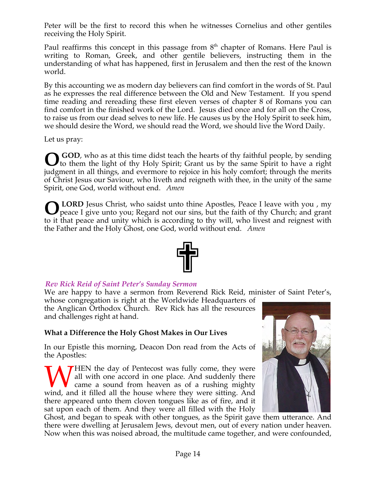Peter will be the first to record this when he witnesses Cornelius and other gentiles receiving the Holy Spirit.

Paul reaffirms this concept in this passage from  $8<sup>th</sup>$  chapter of Romans. Here Paul is writing to Roman, Greek, and other gentile believers, instructing them in the understanding of what has happened, first in Jerusalem and then the rest of the known world.

By this accounting we as modern day believers can find comfort in the words of St. Paul as he expresses the real difference between the Old and New Testament. If you spend time reading and rereading these first eleven verses of chapter 8 of Romans you can find comfort in the finished work of the Lord. Jesus died once and for all on the Cross, to raise us from our dead selves to new life. He causes us by the Holy Spirit to seek him, we should desire the Word, we should read the Word, we should live the Word Daily.

Let us pray:

**GOD**, who as at this time didst teach the hearts of thy faithful people, by sending **O** GOD, who as at this time didst teach the hearts of thy faithful people, by sending to them the light of thy Holy Spirit; Grant us by the same Spirit to have a right judgment in all things, and evermore to rejoice in his holy comfort; through the merits of Christ Jesus our Saviour, who liveth and reigneth with thee, in the unity of the same Spirit, one God, world without end. *Amen*

 **LORD** Jesus Christ, who saidst unto thine Apostles, Peace I leave with you , my peace I give unto you; Regard not our sins, but the faith of thy Church; and grant to it that peace and unity which is according to thy will, who livest and reignest with the Father and the Holy Ghost, one God, world without end. *Amen* **O**



### *Rev Rick Reid of Saint Peter's Sunday Sermon*

We are happy to have a sermon from Reverend Rick Reid, minister of Saint Peter's,

whose congregation is right at the Worldwide Headquarters of the Anglican Orthodox Church. Rev Rick has all the resources and challenges right at hand.

### **What a Difference the Holy Ghost Makes in Our Lives**

In our Epistle this morning, Deacon Don read from the Acts of the Apostles:

**THEN** the day of Pentecost was fully come, they were all with one accord in one place. And suddenly there came a sound from heaven as of a rushing mighty WHEN the day of Pentecost was fully come, they were all with one accord in one place. And suddenly there came a sound from heaven as of a rushing mighty wind, and it filled all the house where they were sitting. And there appeared unto them cloven tongues like as of fire, and it sat upon each of them. And they were all filled with the Holy



Ghost, and began to speak with other tongues, as the Spirit gave them utterance. And there were dwelling at Jerusalem Jews, devout men, out of every nation under heaven. Now when this was noised abroad, the multitude came together, and were confounded,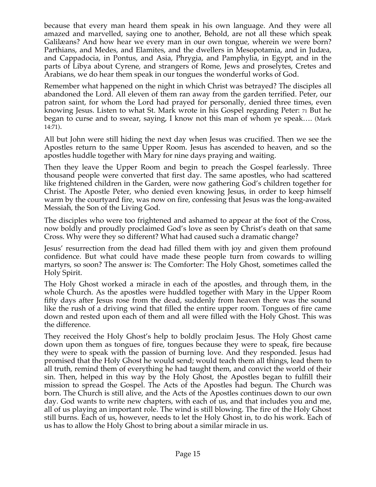because that every man heard them speak in his own language. And they were all amazed and marvelled, saying one to another, Behold, are not all these which speak Galilæans? And how hear we every man in our own tongue, wherein we were born? Parthians, and Medes, and Elamites, and the dwellers in Mesopotamia, and in Judæa, and Cappadocia, in Pontus, and Asia, Phrygia, and Pamphylia, in Egypt, and in the parts of Libya about Cyrene, and strangers of Rome, Jews and proselytes, Cretes and Arabians, we do hear them speak in our tongues the wonderful works of God.

Remember what happened on the night in which Christ was betrayed? The disciples all abandoned the Lord. All eleven of them ran away from the garden terrified. Peter, our patron saint, for whom the Lord had prayed for personally, denied three times, even knowing Jesus. Listen to what St. Mark wrote in his Gospel regarding Peter: 71 But he began to curse and to swear, saying, I know not this man of whom ye speak…. (Mark 14:71).

All but John were still hiding the next day when Jesus was crucified. Then we see the Apostles return to the same Upper Room. Jesus has ascended to heaven, and so the apostles huddle together with Mary for nine days praying and waiting.

Then they leave the Upper Room and begin to preach the Gospel fearlessly. Three thousand people were converted that first day. The same apostles, who had scattered like frightened children in the Garden, were now gathering God's children together for Christ. The Apostle Peter, who denied even knowing Jesus, in order to keep himself warm by the courtyard fire, was now on fire, confessing that Jesus was the long-awaited Messiah, the Son of the Living God.

The disciples who were too frightened and ashamed to appear at the foot of the Cross, now boldly and proudly proclaimed God's love as seen by Christ's death on that same Cross. Why were they so different? What had caused such a dramatic change?

Jesus' resurrection from the dead had filled them with joy and given them profound confidence. But what could have made these people turn from cowards to willing martyrs, so soon? The answer is: The Comforter: The Holy Ghost, sometimes called the Holy Spirit.

The Holy Ghost worked a miracle in each of the apostles, and through them, in the whole Church. As the apostles were huddled together with Mary in the Upper Room fifty days after Jesus rose from the dead, suddenly from heaven there was the sound like the rush of a driving wind that filled the entire upper room. Tongues of fire came down and rested upon each of them and all were filled with the Holy Ghost. This was the difference.

They received the Holy Ghost's help to boldly proclaim Jesus. The Holy Ghost came down upon them as tongues of fire, tongues because they were to speak, fire because they were to speak with the passion of burning love. And they responded. Jesus had promised that the Holy Ghost he would send; would teach them all things, lead them to all truth, remind them of everything he had taught them, and convict the world of their sin. Then, helped in this way by the Holy Ghost, the Apostles began to fulfill their mission to spread the Gospel. The Acts of the Apostles had begun. The Church was born. The Church is still alive, and the Acts of the Apostles continues down to our own day. God wants to write new chapters, with each of us, and that includes you and me, all of us playing an important role. The wind is still blowing. The fire of the Holy Ghost still burns. Each of us, however, needs to let the Holy Ghost in, to do his work. Each of us has to allow the Holy Ghost to bring about a similar miracle in us.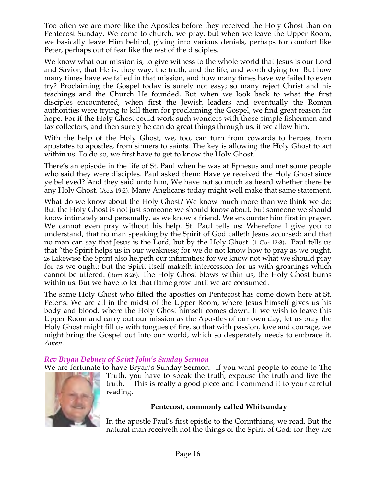Too often we are more like the Apostles before they received the Holy Ghost than on Pentecost Sunday. We come to church, we pray, but when we leave the Upper Room, we basically leave Him behind, giving into various denials, perhaps for comfort like Peter, perhaps out of fear like the rest of the disciples.

We know what our mission is, to give witness to the whole world that Jesus is our Lord and Savior, that He is, they way, the truth, and the life, and worth dying for. But how many times have we failed in that mission, and how many times have we failed to even try? Proclaiming the Gospel today is surely not easy; so many reject Christ and his teachings and the Church He founded. But when we look back to what the first disciples encountered, when first the Jewish leaders and eventually the Roman authorities were trying to kill them for proclaiming the Gospel, we find great reason for hope. For if the Holy Ghost could work such wonders with those simple fishermen and tax collectors, and then surely he can do great things through us, if we allow him.

With the help of the Holy Ghost, we, too, can turn from cowards to heroes, from apostates to apostles, from sinners to saints. The key is allowing the Holy Ghost to act within us. To do so, we first have to get to know the Holy Ghost.

There's an episode in the life of St. Paul when he was at Ephesus and met some people who said they were disciples. Paul asked them: Have ye received the Holy Ghost since ye believed? And they said unto him, We have not so much as heard whether there be any Holy Ghost. (Acts 19:2). Many Anglicans today might well make that same statement.

What do we know about the Holy Ghost? We know much more than we think we do: But the Holy Ghost is not just someone we should know about, but someone we should know intimately and personally, as we know a friend. We encounter him first in prayer. We cannot even pray without his help. St. Paul tells us: Wherefore I give you to understand, that no man speaking by the Spirit of God calleth Jesus accursed: and that no man can say that Jesus is the Lord, but by the Holy Ghost. (1 Cor 12:3). Paul tells us that "the Spirit helps us in our weakness; for we do not know how to pray as we ought, 26 Likewise the Spirit also helpeth our infirmities: for we know not what we should pray for as we ought: but the Spirit itself maketh intercession for us with groanings which cannot be uttered. (Rom 8:26). The Holy Ghost blows within us, the Holy Ghost burns within us. But we have to let that flame grow until we are consumed.

The same Holy Ghost who filled the apostles on Pentecost has come down here at St. Peter's. We are all in the midst of the Upper Room, where Jesus himself gives us his body and blood, where the Holy Ghost himself comes down. If we wish to leave this Upper Room and carry out our mission as the Apostles of our own day, let us pray the Holy Ghost might fill us with tongues of fire, so that with passion, love and courage, we might bring the Gospel out into our world, which so desperately needs to embrace it. *Amen.* 

## *Rev Bryan Dabney of Saint John's Sunday Sermon*

We are fortunate to have Bryan's Sunday Sermon. If you want people to come to The



Truth, you have to speak the truth, expouse the truth and live the truth. This is really a good piece and I commend it to your careful reading.

### **Pentecost, commonly called Whitsunday**

In the apostle Paul's first epistle to the Corinthians, we read, But the natural man receiveth not the things of the Spirit of God: for they are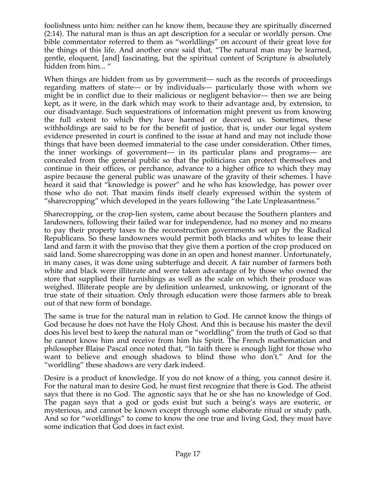foolishness unto him: neither can he know them, because they are spiritually discerned (2:14). The natural man is thus an apt description for a secular or worldly person. One bible commentator referred to them as "worldlings" on account of their great love for the things of this life. And another once said that, "The natural man may be learned, gentle, eloquent, [and] fascinating, but the spiritual content of Scripture is absolutely hidden from him... "

When things are hidden from us by government— such as the records of proceedings regarding matters of state— or by individuals— particularly those with whom we might be in conflict due to their malicious or negligent behavior— then we are being kept, as it were, in the dark which may work to their advantage and, by extension, to our disadvantage. Such sequestrations of information might prevent us from knowing the full extent to which they have harmed or deceived us. Sometimes, these withholdings are said to be for the benefit of justice, that is, under our legal system evidence presented in court is confined to the issue at hand and may not include those things that have been deemed immaterial to the case under consideration. Other times, the inner workings of government— in its particular plans and programs— are concealed from the general public so that the politicians can protect themselves and continue in their offices, or perchance, advance to a higher office to which they may aspire because the general public was unaware of the gravity of their schemes. I have heard it said that "knowledge is power" and he who has knowledge, has power over those who do not. That maxim finds itself clearly expressed within the system of "sharecropping" which developed in the years following "the Late Unpleasantness."

Sharecropping, or the crop-lien system, came about because the Southern planters and landowners, following their failed war for independence, had no money and no means to pay their property taxes to the reconstruction governments set up by the Radical Republicans. So these landowners would permit both blacks and whites to lease their land and farm it with the proviso that they give them a portion of the crop produced on said land. Some sharecropping was done in an open and honest manner. Unfortunately, in many cases, it was done using subterfuge and deceit. A fair number of farmers both white and black were illiterate and were taken advantage of by those who owned the store that supplied their furnishings as well as the scale on which their produce was weighed. Illiterate people are by definition unlearned, unknowing, or ignorant of the true state of their situation. Only through education were those farmers able to break out of that new form of bondage.

The same is true for the natural man in relation to God. He cannot know the things of God because he does not have the Holy Ghost. And this is because his master the devil does his level best to keep the natural man or "worldling" from the truth of God so that he cannot know him and receive from him his Spirit. The French mathematician and philosopher Blaise Pascal once noted that, "In faith there is enough light for those who want to believe and enough shadows to blind those who don't." And for the "worldling" these shadows are very dark indeed.

Desire is a product of knowledge. If you do not know of a thing, you cannot desire it. For the natural man to desire God, he must first recognize that there is God. The atheist says that there is no God. The agnostic says that he or she has no knowledge of God. The pagan says that a god or gods exist but such a being's ways are esoteric, or mysterious, and cannot be known except through some elaborate ritual or study path. And so for "worldlings" to come to know the one true and living God, they must have some indication that God does in fact exist.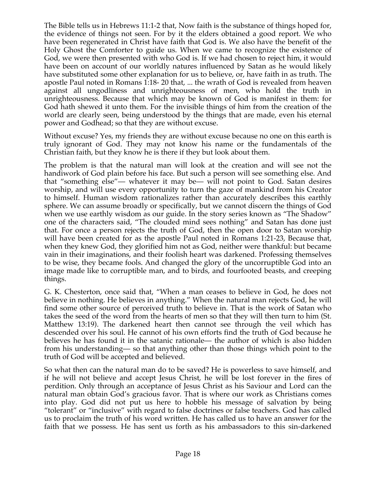The Bible tells us in Hebrews 11:1-2 that, Now faith is the substance of things hoped for, the evidence of things not seen. For by it the elders obtained a good report. We who have been regenerated in Christ have faith that God is. We also have the benefit of the Holy Ghost the Comforter to guide us. When we came to recognize the existence of God, we were then presented with who God is. If we had chosen to reject him, it would have been on account of our worldly natures influenced by Satan as he would likely have substituted some other explanation for us to believe, or, have faith in as truth. The apostle Paul noted in Romans 1:18- 20 that, ... the wrath of God is revealed from heaven against all ungodliness and unrighteousness of men, who hold the truth in unrighteousness. Because that which may be known of God is manifest in them: for God hath shewed it unto them. For the invisible things of him from the creation of the world are clearly seen, being understood by the things that are made, even his eternal power and Godhead; so that they are without excuse.

Without excuse? Yes, my friends they are without excuse because no one on this earth is truly ignorant of God. They may not know his name or the fundamentals of the Christian faith, but they know he is there if they but look about them.

The problem is that the natural man will look at the creation and will see not the handiwork of God plain before his face. But such a person will see something else. And that "something else"— whatever it may be— will not point to God. Satan desires worship, and will use every opportunity to turn the gaze of mankind from his Creator to himself. Human wisdom rationalizes rather than accurately describes this earthly sphere. We can assume broadly or specifically, but we cannot discern the things of God when we use earthly wisdom as our guide. In the story series known as "The Shadow" one of the characters said, "The clouded mind sees nothing" and Satan has done just that. For once a person rejects the truth of God, then the open door to Satan worship will have been created for as the apostle Paul noted in Romans 1:21-23, Because that, when they knew God, they glorified him not as God, neither were thankful: but became vain in their imaginations, and their foolish heart was darkened. Professing themselves to be wise, they became fools. And changed the glory of the uncorruptible God into an image made like to corruptible man, and to birds, and fourfooted beasts, and creeping things.

G. K. Chesterton, once said that, "When a man ceases to believe in God, he does not believe in nothing. He believes in anything." When the natural man rejects God, he will find some other source of perceived truth to believe in. That is the work of Satan who takes the seed of the word from the hearts of men so that they will then turn to him (St. Matthew 13:19). The darkened heart then cannot see through the veil which has descended over his soul. He cannot of his own efforts find the truth of God because he believes he has found it in the satanic rationale— the author of which is also hidden from his understanding— so that anything other than those things which point to the truth of God will be accepted and believed.

So what then can the natural man do to be saved? He is powerless to save himself, and if he will not believe and accept Jesus Christ, he will be lost forever in the fires of perdition. Only through an acceptance of Jesus Christ as his Saviour and Lord can the natural man obtain God's gracious favor. That is where our work as Christians comes into play. God did not put us here to hobble his message of salvation by being "tolerant" or "inclusive" with regard to false doctrines or false teachers. God has called us to proclaim the truth of his word written. He has called us to have an answer for the faith that we possess. He has sent us forth as his ambassadors to this sin-darkened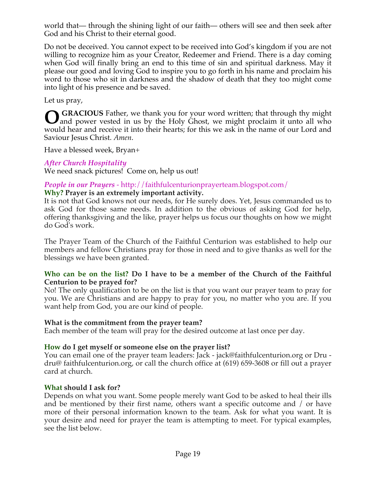world that— through the shining light of our faith— others will see and then seek after God and his Christ to their eternal good.

Do not be deceived. You cannot expect to be received into God's kingdom if you are not willing to recognize him as your Creator, Redeemer and Friend. There is a day coming when God will finally bring an end to this time of sin and spiritual darkness. May it please our good and loving God to inspire you to go forth in his name and proclaim his word to those who sit in darkness and the shadow of death that they too might come into light of his presence and be saved.

Let us pray,

GRACIOUS Father, we thank you for your word written; that through thy might and power vested in us by the Holy Ghost, we might proclaim it unto all who and power vested in us by the Holy Ghost, we might proclaim it unto all who would hear and receive it into their hearts; for this we ask in the name of our Lord and Saviour Jesus Christ. *Amen*.

Have a blessed week, Bryan+

### *After Church Hospitality*

We need snack pictures! Come on, help us out!

#### *People in our Prayers* - http://faithfulcenturionprayerteam.blogspot.com/ **Why? Prayer is an extremely important activity.**

It is not that God knows not our needs, for He surely does. Yet, Jesus commanded us to ask God for those same needs. In addition to the obvious of asking God for help, offering thanksgiving and the like, prayer helps us focus our thoughts on how we might do God's work.

The Prayer Team of the Church of the Faithful Centurion was established to help our members and fellow Christians pray for those in need and to give thanks as well for the blessings we have been granted.

#### **Who can be on the list? Do I have to be a member of the Church of the Faithful Centurion to be prayed for?**

No! The only qualification to be on the list is that you want our prayer team to pray for you. We are Christians and are happy to pray for you, no matter who you are. If you want help from God, you are our kind of people.

### **What is the commitment from the prayer team?**

Each member of the team will pray for the desired outcome at last once per day.

### **How do I get myself or someone else on the prayer list?**

You can email one of the prayer team leaders: Jack - jack@faithfulcenturion.org or Dru dru@ faithfulcenturion.org, or call the church office at (619) 659-3608 or fill out a prayer card at church.

### **What should I ask for?**

Depends on what you want. Some people merely want God to be asked to heal their ills and be mentioned by their first name, others want a specific outcome and / or have more of their personal information known to the team. Ask for what you want. It is your desire and need for prayer the team is attempting to meet. For typical examples, see the list below.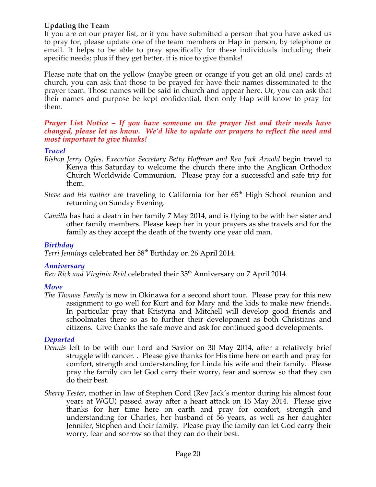### **Updating the Team**

If you are on our prayer list, or if you have submitted a person that you have asked us to pray for, please update one of the team members or Hap in person, by telephone or email. It helps to be able to pray specifically for these individuals including their specific needs; plus if they get better, it is nice to give thanks!

Please note that on the yellow (maybe green or orange if you get an old one) cards at church, you can ask that those to be prayed for have their names disseminated to the prayer team. Those names will be said in church and appear here. Or, you can ask that their names and purpose be kept confidential, then only Hap will know to pray for them.

#### *Prayer List Notice – If you have someone on the prayer list and their needs have changed, please let us know. We'd like to update our prayers to reflect the need and most important to give thanks!*

### *Travel*

- *Bishop Jerry Ogles, Executive Secretary Betty Hoffman and Rev Jack Arnold* begin travel to Kenya this Saturday to welcome the church there into the Anglican Orthodox Church Worldwide Communion. Please pray for a successful and safe trip for them.
- *Steve and his mother* are traveling to California for her 65<sup>th</sup> High School reunion and returning on Sunday Evening.
- *Camilla* has had a death in her family 7 May 2014, and is flying to be with her sister and other family members. Please keep her in your prayers as she travels and for the family as they accept the death of the twenty one year old man.

#### *Birthday*

Terri Jennings celebrated her 58<sup>th</sup> Birthday on 26 April 2014.

#### *Anniversary*

*Rev Rick and Virginia Reid* celebrated their 35th Anniversary on 7 April 2014.

#### *Move*

*The Thomas Family* is now in Okinawa for a second short tour. Please pray for this new assignment to go well for Kurt and for Mary and the kids to make new friends. In particular pray that Kristyna and Mitchell will develop good friends and schoolmates there so as to further their development as both Christians and citizens. Give thanks the safe move and ask for continued good developments.

#### *Departed*

- *Dennis* left to be with our Lord and Savior on 30 May 2014, after a relatively brief struggle with cancer. . Please give thanks for His time here on earth and pray for comfort, strength and understanding for Linda his wife and their family. Please pray the family can let God carry their worry, fear and sorrow so that they can do their best.
- *Sherry Tester*, mother in law of Stephen Cord (Rev Jack's mentor during his almost four years at WGU) passed away after a heart attack on 16 May 2014. Please give thanks for her time here on earth and pray for comfort, strength and understanding for Charles, her husband of 56 years, as well as her daughter Jennifer, Stephen and their family. Please pray the family can let God carry their worry, fear and sorrow so that they can do their best.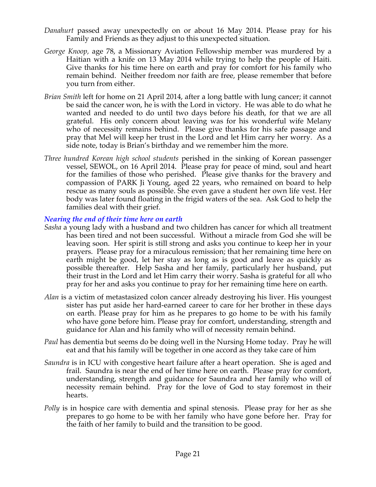- *Danahurt* passed away unexpectedly on or about 16 May 2014. Please pray for his Family and Friends as they adjust to this unexpected situation*.*
- *George Knoop,* age 78, a Missionary Aviation Fellowship member was murdered by a Haitian with a knife on 13 May 2014 while trying to help the people of Haiti. Give thanks for his time here on earth and pray for comfort for his family who remain behind. Neither freedom nor faith are free, please remember that before you turn from either.
- *Brian Smith* left for home on 21 April 2014, after a long battle with lung cancer; it cannot be said the cancer won, he is with the Lord in victory. He was able to do what he wanted and needed to do until two days before his death, for that we are all grateful. His only concern about leaving was for his wonderful wife Melany who of necessity remains behind. Please give thanks for his safe passage and pray that Mel will keep her trust in the Lord and let Him carry her worry. As a side note, today is Brian's birthday and we remember him the more.
- *Three hundred Korean high school students* perished in the sinking of Korean passenger vessel, SEWOL, on 16 April 2014. Please pray for peace of mind, soul and heart for the families of those who perished. Please give thanks for the bravery and compassion of PARK Ji Young, aged 22 years, who remained on board to help rescue as many souls as possible. She even gave a student her own life vest. Her body was later found floating in the frigid waters of the sea. Ask God to help the families deal with their grief.

#### *Nearing the end of their time here on earth*

- *Sasha* a young lady with a husband and two children has cancer for which all treatment has been tired and not been successful. Without a miracle from God she will be leaving soon. Her spirit is still strong and asks you continue to keep her in your prayers. Please pray for a miraculous remission; that her remaining time here on earth might be good, let her stay as long as is good and leave as quickly as possible thereafter. Help Sasha and her family, particularly her husband, put their trust in the Lord and let Him carry their worry. Sasha is grateful for all who pray for her and asks you continue to pray for her remaining time here on earth.
- *Alan* is a victim of metastasized colon cancer already destroying his liver. His youngest sister has put aside her hard-earned career to care for her brother in these days on earth. Please pray for him as he prepares to go home to be with his family who have gone before him. Please pray for comfort, understanding, strength and guidance for Alan and his family who will of necessity remain behind.
- *Paul* has dementia but seems do be doing well in the Nursing Home today. Pray he will eat and that his family will be together in one accord as they take care of him
- *Saundra* is in ICU with congestive heart failure after a heart operation. She is aged and frail. Saundra is near the end of her time here on earth. Please pray for comfort, understanding, strength and guidance for Saundra and her family who will of necessity remain behind. Pray for the love of God to stay foremost in their hearts.
- *Polly* is in hospice care with dementia and spinal stenosis. Please pray for her as she prepares to go home to be with her family who have gone before her. Pray for the faith of her family to build and the transition to be good.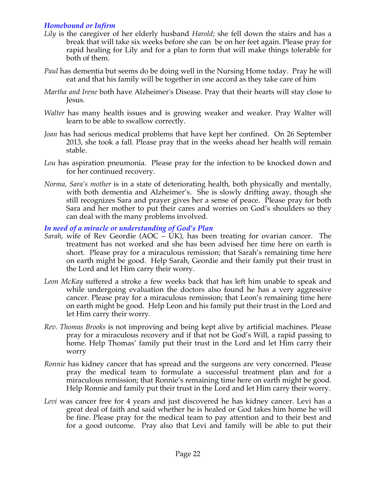### *Homebound or Infirm*

- *Lily* is the caregiver of her elderly husband *Harold*; she fell down the stairs and has a break that will take six weeks before she can be on her feet again. Please pray for rapid healing for Lily and for a plan to form that will make things tolerable for both of them.
- *Paul* has dementia but seems do be doing well in the Nursing Home today. Pray he will eat and that his family will be together in one accord as they take care of him
- *Martha and Irene* both have Alzheimer's Disease. Pray that their hearts will stay close to Jesus.
- *Walter* has many health issues and is growing weaker and weaker. Pray Walter will learn to be able to swallow correctly.
- *Joan* has had serious medical problems that have kept her confined. On 26 September 2013, she took a fall. Please pray that in the weeks ahead her health will remain stable.
- *Lou* has aspiration pneumonia. Please pray for the infection to be knocked down and for her continued recovery.
- *Norma, Sara's mother* is in a state of deteriorating health, both physically and mentally, with both dementia and Alzheimer's. She is slowly drifting away, though she still recognizes Sara and prayer gives her a sense of peace. Please pray for both Sara and her mother to put their cares and worries on God's shoulders so they can deal with the many problems involved.

*In need of a miracle or understanding of God's Plan*

- *Sarah,* wife of Rev Geordie (AOC UK), has been treating for ovarian cancer. The treatment has not worked and she has been advised her time here on earth is short. Please pray for a miraculous remission; that Sarah's remaining time here on earth might be good. Help Sarah, Geordie and their family put their trust in the Lord and let Him carry their worry.
- *Leon McKay* suffered a stroke a few weeks back that has left him unable to speak and while undergoing evaluation the doctors also found he has a very aggressive cancer. Please pray for a miraculous remission; that Leon's remaining time here on earth might be good. Help Leon and his family put their trust in the Lord and let Him carry their worry.
- *Rev. Thomas Brooks* is not improving and being kept alive by artificial machines. Please pray for a miraculous recovery and if that not be God's Will, a rapid passing to home. Help Thomas' family put their trust in the Lord and let Him carry their worry
- *Ronnie* has kidney cancer that has spread and the surgeons are very concerned. Please pray the medical team to formulate a successful treatment plan and for a miraculous remission; that Ronnie's remaining time here on earth might be good. Help Ronnie and family put their trust in the Lord and let Him carry their worry.
- *Levi* was cancer free for 4 years and just discovered he has kidney cancer. Levi has a great deal of faith and said whether he is healed or God takes him home he will be fine. Please pray for the medical team to pay attention and to their best and for a good outcome. Pray also that Levi and family will be able to put their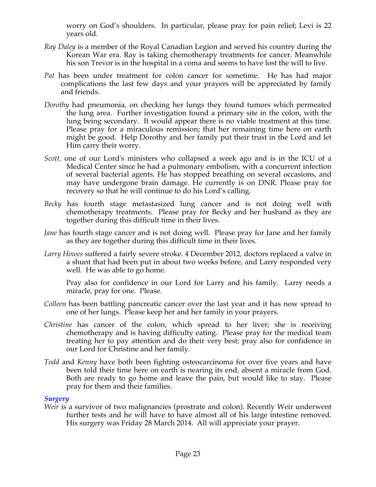worry on God's shoulders. In particular, please pray for pain relief; Levi is 22 years old.

- *Ray Daley* is a member of the Royal Canadian Legion and served his country during the Korean War era. Ray is taking chemotherapy treatments for cancer. Meanwhile his son Trevor is in the hospital in a coma and seems to have lost the will to live.
- *Pat* has been under treatment for colon cancer for sometime. He has had major complications the last few days and your prayers will be appreciated by family and friends.
- *Dorothy* had pneumonia, on checking her lungs they found tumors which permeated the lung area. Further investigation found a primary site in the colon, with the lung being secondary. It would appear there is no viable treatment at this time. Please pray for a miraculous remission; that her remaining time here on earth might be good. Help Dorothy and her family put their trust in the Lord and let Him carry their worry.
- *Scott,* one of our Lord's ministers who collapsed a week ago and is in the ICU of a Medical Center since he had a pulmonary embolism, with a concurrent infection of several bacterial agents. He has stopped breathing on several occasions, and may have undergone brain damage. He currently is on DNR. Please pray for recovery so that he will continue to do his Lord's calling*.*
- *Becky* has fourth stage metastasized lung cancer and is not doing well with chemotherapy treatments. Please pray for Becky and her husband as they are together during this difficult time in their lives.
- *Jane* has fourth stage cancer and is not doing well. Please pray for Jane and her family as they are together during this difficult time in their lives.
- *Larry Howes* suffered a fairly severe stroke. 4 December 2012, doctors replaced a valve in a shunt that had been put in about two weeks before, and Larry responded very well. He was able to go home.

Pray also for confidence in our Lord for Larry and his family. Larry needs a miracle, pray for one. Please.

- *Colleen* has been battling pancreatic cancer over the last year and it has now spread to one of her lungs. Please keep her and her family in your prayers.
- *Christine* has cancer of the colon, which spread to her liver; she is receiving chemotherapy and is having difficulty eating. Please pray for the medical team treating her to pay attention and do their very best; pray also for confidence in our Lord for Christine and her family.
- *Todd* and *Kenny* have both been fighting osteocarcinoma for over five years and have been told their time here on earth is nearing its end, absent a miracle from God. Both are ready to go home and leave the pain, but would like to stay. Please pray for them and their families.

#### *Surgery*

*Weir* is a survivor of two malignancies (prostrate and colon). Recently Weir underwent further tests and he will have to have almost all of his large intestine removed. His surgery was Friday 28 March 2014. All will appreciate your prayer.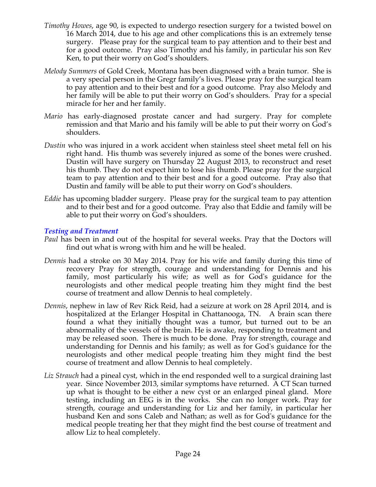- *Timothy Howes*, age 90, is expected to undergo resection surgery for a twisted bowel on 16 March 2014, due to his age and other complications this is an extremely tense surgery. Please pray for the surgical team to pay attention and to their best and for a good outcome. Pray also Timothy and his family, in particular his son Rev Ken, to put their worry on God's shoulders.
- *Melody Summers* of Gold Creek, Montana has been diagnosed with a brain tumor. She is a very special person in the Gregr family's lives. Please pray for the surgical team to pay attention and to their best and for a good outcome. Pray also Melody and her family will be able to put their worry on God's shoulders. Pray for a special miracle for her and her family.
- *Mario* has early-diagnosed prostate cancer and had surgery. Pray for complete remission and that Mario and his family will be able to put their worry on God's shoulders.
- *Dustin* who was injured in a work accident when stainless steel sheet metal fell on his right hand. His thumb was severely injured as some of the bones were crushed. Dustin will have surgery on Thursday 22 August 2013, to reconstruct and reset his thumb. They do not expect him to lose his thumb. Please pray for the surgical team to pay attention and to their best and for a good outcome. Pray also that Dustin and family will be able to put their worry on God's shoulders.
- *Eddie* has upcoming bladder surgery. Please pray for the surgical team to pay attention and to their best and for a good outcome. Pray also that Eddie and family will be able to put their worry on God's shoulders.

#### *Testing and Treatment*

- *Paul* has been in and out of the hospital for several weeks. Pray that the Doctors will find out what is wrong with him and he will be healed.
- *Dennis* had a stroke on 30 May 2014. Pray for his wife and family during this time of recovery Pray for strength, courage and understanding for Dennis and his family, most particularly his wife; as well as for God's guidance for the neurologists and other medical people treating him they might find the best course of treatment and allow Dennis to heal completely.
- *Dennis*, nephew in law of Rev Rick Reid, had a seizure at work on 28 April 2014, and is hospitalized at the Erlanger Hospital in Chattanooga, TN. A brain scan there found a what they initially thought was a tumor, but turned out to be an abnormality of the vessels of the brain. He is awake, responding to treatment and may be released soon. There is much to be done. Pray for strength, courage and understanding for Dennis and his family; as well as for God's guidance for the neurologists and other medical people treating him they might find the best course of treatment and allow Dennis to heal completely.
- *Liz Strauch* had a pineal cyst, which in the end responded well to a surgical draining last year. Since November 2013, similar symptoms have returned. A CT Scan turned up what is thought to be either a new cyst or an enlarged pineal gland. More testing, including an EEG is in the works. She can no longer work. Pray for strength, courage and understanding for Liz and her family, in particular her husband Ken and sons Caleb and Nathan; as well as for God's guidance for the medical people treating her that they might find the best course of treatment and allow Liz to heal completely.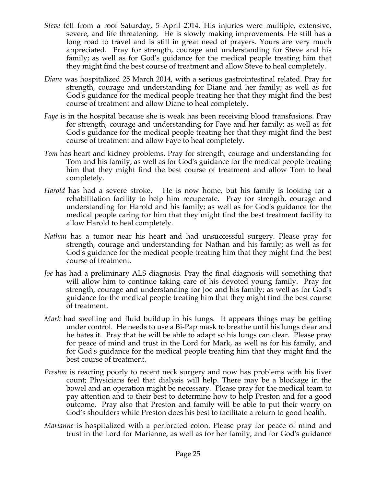- *Steve* fell from a roof Saturday, 5 April 2014. His injuries were multiple, extensive, severe, and life threatening. He is slowly making improvements. He still has a long road to travel and is still in great need of prayers. Yours are very much appreciated. Pray for strength, courage and understanding for Steve and his family; as well as for God's guidance for the medical people treating him that they might find the best course of treatment and allow Steve to heal completely.
- *Diane* was hospitalized 25 March 2014, with a serious gastrointestinal related. Pray for strength, courage and understanding for Diane and her family; as well as for God's guidance for the medical people treating her that they might find the best course of treatment and allow Diane to heal completely.
- *Faye* is in the hospital because she is weak has been receiving blood transfusions. Pray for strength, courage and understanding for Faye and her family; as well as for God's guidance for the medical people treating her that they might find the best course of treatment and allow Faye to heal completely.
- *Tom* has heart and kidney problems. Pray for strength, courage and understanding for Tom and his family; as well as for God's guidance for the medical people treating him that they might find the best course of treatment and allow Tom to heal completely.
- *Harold* has had a severe stroke. He is now home, but his family is looking for a rehabilitation facility to help him recuperate. Pray for strength, courage and understanding for Harold and his family; as well as for God's guidance for the medical people caring for him that they might find the best treatment facility to allow Harold to heal completely.
- *Nathan* has a tumor near his heart and had unsuccessful surgery. Please pray for strength, courage and understanding for Nathan and his family; as well as for God's guidance for the medical people treating him that they might find the best course of treatment.
- *Joe* has had a preliminary ALS diagnosis. Pray the final diagnosis will something that will allow him to continue taking care of his devoted young family. Pray for strength, courage and understanding for Joe and his family; as well as for God's guidance for the medical people treating him that they might find the best course of treatment.
- *Mark* had swelling and fluid buildup in his lungs. It appears things may be getting under control. He needs to use a Bi-Pap mask to breathe until his lungs clear and he hates it. Pray that he will be able to adapt so his lungs can clear. Please pray for peace of mind and trust in the Lord for Mark, as well as for his family, and for God's guidance for the medical people treating him that they might find the best course of treatment.
- *Preston* is reacting poorly to recent neck surgery and now has problems with his liver count; Physicians feel that dialysis will help. There may be a blockage in the bowel and an operation might be necessary. Please pray for the medical team to pay attention and to their best to determine how to help Preston and for a good outcome. Pray also that Preston and family will be able to put their worry on God's shoulders while Preston does his best to facilitate a return to good health.
- *Marianne* is hospitalized with a perforated colon. Please pray for peace of mind and trust in the Lord for Marianne, as well as for her family, and for God's guidance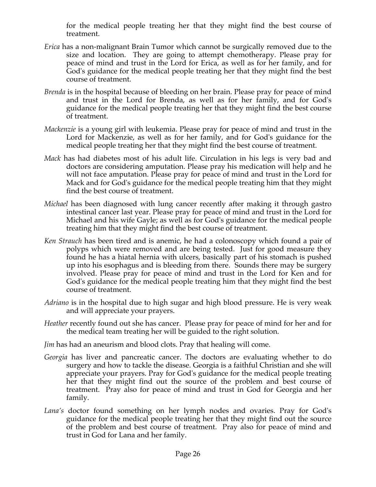for the medical people treating her that they might find the best course of treatment.

- *Erica* has a non-malignant Brain Tumor which cannot be surgically removed due to the size and location. They are going to attempt chemotherapy. Please pray for peace of mind and trust in the Lord for Erica, as well as for her family, and for God's guidance for the medical people treating her that they might find the best course of treatment.
- *Brenda* is in the hospital because of bleeding on her brain. Please pray for peace of mind and trust in the Lord for Brenda, as well as for her family, and for God's guidance for the medical people treating her that they might find the best course of treatment.
- *Mackenzie* is a young girl with leukemia. Please pray for peace of mind and trust in the Lord for Mackenzie, as well as for her family, and for God's guidance for the medical people treating her that they might find the best course of treatment.
- *Mack* has had diabetes most of his adult life. Circulation in his legs is very bad and doctors are considering amputation. Please pray his medication will help and he will not face amputation. Please pray for peace of mind and trust in the Lord for Mack and for God's guidance for the medical people treating him that they might find the best course of treatment.
- *Michael* has been diagnosed with lung cancer recently after making it through gastro intestinal cancer last year. Please pray for peace of mind and trust in the Lord for Michael and his wife Gayle; as well as for God's guidance for the medical people treating him that they might find the best course of treatment.
- *Ken Strauch* has been tired and is anemic, he had a colonoscopy which found a pair of polyps which were removed and are being tested. Just for good measure they found he has a hiatal hernia with ulcers, basically part of his stomach is pushed up into his esophagus and is bleeding from there. Sounds there may be surgery involved. Please pray for peace of mind and trust in the Lord for Ken and for God's guidance for the medical people treating him that they might find the best course of treatment.
- *Adriano* is in the hospital due to high sugar and high blood pressure. He is very weak and will appreciate your prayers.
- *Heather* recently found out she has cancer. Please pray for peace of mind for her and for the medical team treating her will be guided to the right solution.
- *Jim* has had an aneurism and blood clots. Pray that healing will come.
- *Georgia* has liver and pancreatic cancer. The doctors are evaluating whether to do surgery and how to tackle the disease. Georgia is a faithful Christian and she will appreciate your prayers. Pray for God's guidance for the medical people treating her that they might find out the source of the problem and best course of treatment. Pray also for peace of mind and trust in God for Georgia and her family.
- *Lana's* doctor found something on her lymph nodes and ovaries. Pray for God's guidance for the medical people treating her that they might find out the source of the problem and best course of treatment. Pray also for peace of mind and trust in God for Lana and her family.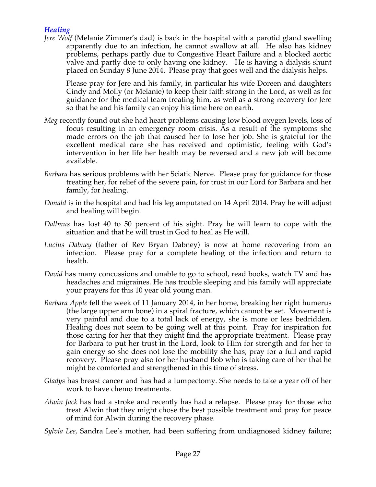### *Healing*

*Jere Wolf* (Melanie Zimmer's dad) is back in the hospital with a parotid gland swelling apparently due to an infection, he cannot swallow at all. He also has kidney problems, perhaps partly due to Congestive Heart Failure and a blocked aortic valve and partly due to only having one kidney. He is having a dialysis shunt placed on Sunday 8 June 2014. Please pray that goes well and the dialysis helps.

Please pray for Jere and his family, in particular his wife Doreen and daughters Cindy and Molly (or Melanie) to keep their faith strong in the Lord, as well as for guidance for the medical team treating him, as well as a strong recovery for Jere so that he and his family can enjoy his time here on earth.

- *Meg* recently found out she had heart problems causing low blood oxygen levels, loss of focus resulting in an emergency room crisis. As a result of the symptoms she made errors on the job that caused her to lose her job. She is grateful for the excellent medical care she has received and optimistic, feeling with God's intervention in her life her health may be reversed and a new job will become available.
- *Barbara* has serious problems with her Sciatic Nerve. Please pray for guidance for those treating her, for relief of the severe pain, for trust in our Lord for Barbara and her family, for healing.
- *Donald* is in the hospital and had his leg amputated on 14 April 2014. Pray he will adjust and healing will begin.
- *Dallmus* has lost 40 to 50 percent of his sight. Pray he will learn to cope with the situation and that he will trust in God to heal as He will.
- *Lucius Dabney* (father of Rev Bryan Dabney) is now at home recovering from an infection. Please pray for a complete healing of the infection and return to health.
- *David* has many concussions and unable to go to school, read books, watch TV and has headaches and migraines. He has trouble sleeping and his family will appreciate your prayers for this 10 year old young man.
- *Barbara Apple* fell the week of 11 January 2014, in her home, breaking her right humerus (the large upper arm bone) in a spiral fracture, which cannot be set. Movement is very painful and due to a total lack of energy, she is more or less bedridden. Healing does not seem to be going well at this point. Pray for inspiration for those caring for her that they might find the appropriate treatment. Please pray for Barbara to put her trust in the Lord, look to Him for strength and for her to gain energy so she does not lose the mobility she has; pray for a full and rapid recovery. Please pray also for her husband Bob who is taking care of her that he might be comforted and strengthened in this time of stress.
- *Gladys* has breast cancer and has had a lumpectomy. She needs to take a year off of her work to have chemo treatments.
- *Alwin Jack* has had a stroke and recently has had a relapse. Please pray for those who treat Alwin that they might chose the best possible treatment and pray for peace of mind for Alwin during the recovery phase.
- *Sylvia Lee,* Sandra Lee's mother, had been suffering from undiagnosed kidney failure;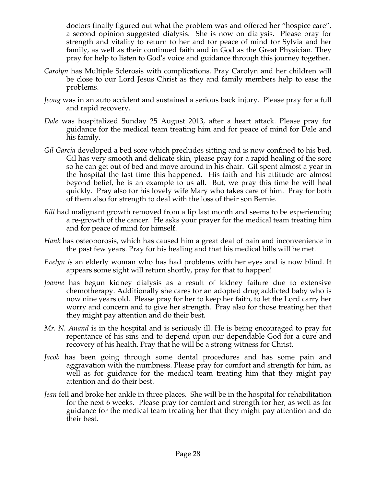doctors finally figured out what the problem was and offered her "hospice care", a second opinion suggested dialysis. She is now on dialysis. Please pray for strength and vitality to return to her and for peace of mind for Sylvia and her family, as well as their continued faith and in God as the Great Physician. They pray for help to listen to God's voice and guidance through this journey together.

- *Carolyn* has Multiple Sclerosis with complications. Pray Carolyn and her children will be close to our Lord Jesus Christ as they and family members help to ease the problems.
- *Jeong* was in an auto accident and sustained a serious back injury. Please pray for a full and rapid recovery.
- *Dale* was hospitalized Sunday 25 August 2013, after a heart attack. Please pray for guidance for the medical team treating him and for peace of mind for Dale and his family.
- *Gil Garcia* developed a bed sore which precludes sitting and is now confined to his bed. Gil has very smooth and delicate skin, please pray for a rapid healing of the sore so he can get out of bed and move around in his chair. Gil spent almost a year in the hospital the last time this happened. His faith and his attitude are almost beyond belief, he is an example to us all. But, we pray this time he will heal quickly. Pray also for his lovely wife Mary who takes care of him. Pray for both of them also for strength to deal with the loss of their son Bernie.
- *Bill* had malignant growth removed from a lip last month and seems to be experiencing a re-growth of the cancer. He asks your prayer for the medical team treating him and for peace of mind for himself.
- *Hank* has osteoporosis, which has caused him a great deal of pain and inconvenience in the past few years. Pray for his healing and that his medical bills will be met.
- *Evelyn is* an elderly woman who has had problems with her eyes and is now blind. It appears some sight will return shortly, pray for that to happen!
- *Joanne* has begun kidney dialysis as a result of kidney failure due to extensive chemotherapy. Additionally she cares for an adopted drug addicted baby who is now nine years old. Please pray for her to keep her faith, to let the Lord carry her worry and concern and to give her strength. Pray also for those treating her that they might pay attention and do their best.
- *Mr. N. Anand* is in the hospital and is seriously ill. He is being encouraged to pray for repentance of his sins and to depend upon our dependable God for a cure and recovery of his health. Pray that he will be a strong witness for Christ.
- *Jacob* has been going through some dental procedures and has some pain and aggravation with the numbness. Please pray for comfort and strength for him, as well as for guidance for the medical team treating him that they might pay attention and do their best.
- *Jean* fell and broke her ankle in three places. She will be in the hospital for rehabilitation for the next 6 weeks. Please pray for comfort and strength for her, as well as for guidance for the medical team treating her that they might pay attention and do their best.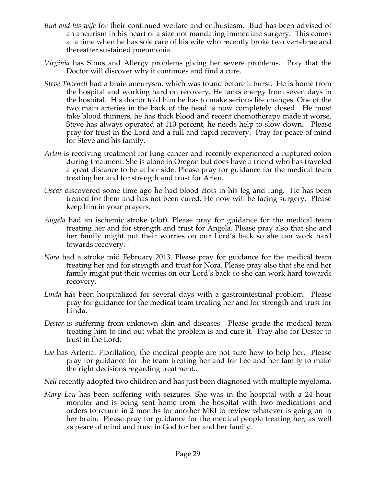- *Bud and his wife* for their continued welfare and enthusiasm. Bud has been advised of an aneurism in his heart of a size not mandating immediate surgery. This comes at a time when he has sole care of his wife who recently broke two vertebrae and thereafter sustained pneumonia.
- *Virginia* has Sinus and Allergy problems giving her severe problems. Pray that the Doctor will discover why it continues and find a cure.
- *Steve Thornell* had a brain aneurysm, which was found before it burst. He is home from the hospital and working hard on recovery. He lacks energy from seven days in the hospital. His doctor told him he has to make serious life changes. One of the two main arteries in the back of the head is now completely closed. He must take blood thinners, he has thick blood and recent chemotherapy made it worse. Steve has always operated at 110 percent, he needs help to slow down. Please pray for trust in the Lord and a full and rapid recovery. Pray for peace of mind for Steve and his family.
- *Arlen* is receiving treatment for lung cancer and recently experienced a ruptured colon during treatment. She is alone in Oregon but does have a friend who has traveled a great distance to be at her side. Please pray for guidance for the medical team treating her and for strength and trust for Arlen.
- *Oscar* discovered some time ago he had blood clots in his leg and lung. He has been treated for them and has not been cured. He now will be facing surgery. Please keep him in your prayers.
- *Angela* had an ischemic stroke (clot). Please pray for guidance for the medical team treating her and for strength and trust for Angela. Please pray also that she and her family might put their worries on our Lord's back so she can work hard towards recovery.
- *Nora* had a stroke mid February 2013. Please pray for guidance for the medical team treating her and for strength and trust for Nora. Please pray also that she and her family might put their worries on our Lord's back so she can work hard towards recovery.
- *Linda* has been hospitalized for several days with a gastrointestinal problem. Please pray for guidance for the medical team treating her and for strength and trust for Linda.
- *Dester* is suffering from unknown skin and diseases. Please guide the medical team treating him to find out what the problem is and cure it. Pray also for Dester to trust in the Lord.
- *Lee* has Arterial Fibrillation; the medical people are not sure how to help her. Please pray for guidance for the team treating her and for Lee and her family to make the right decisions regarding treatment..
- *Nell* recently adopted two children and has just been diagnosed with multiple myeloma.
- *Mary Lou* has been suffering with seizures. She was in the hospital with a 24 hour monitor and is being sent home from the hospital with two medications and orders to return in 2 months for another MRI to review whatever is going on in her brain. Please pray for guidance for the medical people treating her, as well as peace of mind and trust in God for her and her family.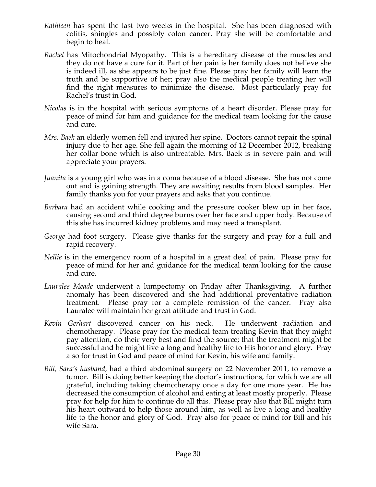- *Kathleen* has spent the last two weeks in the hospital. She has been diagnosed with colitis, shingles and possibly colon cancer. Pray she will be comfortable and begin to heal.
- *Rachel* has Mitochondrial Myopathy. This is a hereditary disease of the muscles and they do not have a cure for it. Part of her pain is her family does not believe she is indeed ill, as she appears to be just fine. Please pray her family will learn the truth and be supportive of her; pray also the medical people treating her will find the right measures to minimize the disease. Most particularly pray for Rachel's trust in God.
- *Nicolas* is in the hospital with serious symptoms of a heart disorder. Please pray for peace of mind for him and guidance for the medical team looking for the cause and cure.
- *Mrs. Baek* an elderly women fell and injured her spine. Doctors cannot repair the spinal injury due to her age. She fell again the morning of 12 December 2012, breaking her collar bone which is also untreatable. Mrs. Baek is in severe pain and will appreciate your prayers.
- *Juanita* is a young girl who was in a coma because of a blood disease. She has not come out and is gaining strength. They are awaiting results from blood samples. Her family thanks you for your prayers and asks that you continue.
- *Barbara* had an accident while cooking and the pressure cooker blew up in her face, causing second and third degree burns over her face and upper body. Because of this she has incurred kidney problems and may need a transplant.
- *George* had foot surgery. Please give thanks for the surgery and pray for a full and rapid recovery.
- *Nellie* is in the emergency room of a hospital in a great deal of pain. Please pray for peace of mind for her and guidance for the medical team looking for the cause and cure.
- *Lauralee Meade* underwent a lumpectomy on Friday after Thanksgiving. A further anomaly has been discovered and she had additional preventative radiation treatment. Please pray for a complete remission of the cancer. Pray also Lauralee will maintain her great attitude and trust in God.
- *Kevin Gerhart* discovered cancer on his neck. He underwent radiation and chemotherapy. Please pray for the medical team treating Kevin that they might pay attention, do their very best and find the source; that the treatment might be successful and he might live a long and healthy life to His honor and glory. Pray also for trust in God and peace of mind for Kevin, his wife and family.
- *Bill, Sara's husband,* had a third abdominal surgery on 22 November 2011, to remove a tumor. Bill is doing better keeping the doctor's instructions, for which we are all grateful, including taking chemotherapy once a day for one more year. He has decreased the consumption of alcohol and eating at least mostly properly. Please pray for help for him to continue do all this. Please pray also that Bill might turn his heart outward to help those around him, as well as live a long and healthy life to the honor and glory of God. Pray also for peace of mind for Bill and his wife Sara.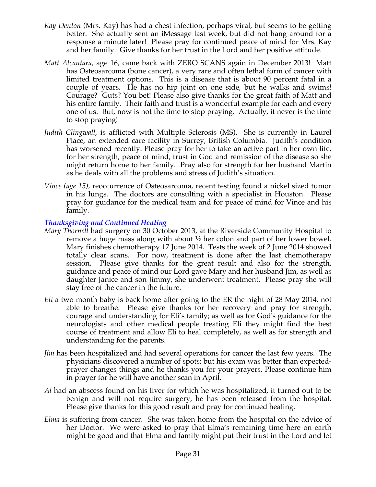- *Kay Denton* (Mrs. Kay) has had a chest infection, perhaps viral, but seems to be getting better. She actually sent an iMessage last week, but did not hang around for a response a minute later! Please pray for continued peace of mind for Mrs. Kay and her family. Give thanks for her trust in the Lord and her positive attitude.
- *Matt Alcantara*, age 16, came back with ZERO SCANS again in December 2013! Matt has Osteosarcoma (bone cancer), a very rare and often lethal form of cancer with limited treatment options. This is a disease that is about 90 percent fatal in a couple of years. He has no hip joint on one side, but he walks and swims! Courage? Guts? You bet! Please also give thanks for the great faith of Matt and his entire family. Their faith and trust is a wonderful example for each and every one of us. But, now is not the time to stop praying. Actually, it never is the time to stop praying!
- *Judith Clingwall*, is afflicted with Multiple Sclerosis (MS). She is currently in Laurel Place, an extended care facility in Surrey, British Columbia. Judith's condition has worsened recently. Please pray for her to take an active part in her own life, for her strength, peace of mind, trust in God and remission of the disease so she might return home to her family. Pray also for strength for her husband Martin as he deals with all the problems and stress of Judith's situation.
- *Vince (age 15),* reoccurrence of Osteosarcoma, recent testing found a nickel sized tumor in his lungs. The doctors are consulting with a specialist in Houston. Please pray for guidance for the medical team and for peace of mind for Vince and his family.

### *Thanksgiving and Continued Healing*

- *Mary Thornell* had surgery on 30 October 2013, at the Riverside Community Hospital to remove a huge mass along with about  $\frac{1}{2}$  her colon and part of her lower bowel. Mary finishes chemotherapy 17 June 2014. Tests the week of 2 June 2014 showed totally clear scans. For now, treatment is done after the last chemotherapy session. Please give thanks for the great result and also for the strength, guidance and peace of mind our Lord gave Mary and her husband Jim, as well as daughter Janice and son Jimmy, she underwent treatment. Please pray she will stay free of the cancer in the future.
- *Eli* a two month baby is back home after going to the ER the night of 28 May 2014, not able to breathe. Please give thanks for her recovery and pray for strength, courage and understanding for Eli's family; as well as for God's guidance for the neurologists and other medical people treating Eli they might find the best course of treatment and allow Eli to heal completely, as well as for strength and understanding for the parents.
- *Jim* has been hospitalized and had several operations for cancer the last few years. The physicians discovered a number of spots; but his exam was better than expectedprayer changes things and he thanks you for your prayers. Please continue him in prayer for he will have another scan in April.
- *Al* had an abscess found on his liver for which he was hospitalized, it turned out to be benign and will not require surgery, he has been released from the hospital. Please give thanks for this good result and pray for continued healing.
- *Elma* is suffering from cancer. She was taken home from the hospital on the advice of her Doctor. We were asked to pray that Elma's remaining time here on earth might be good and that Elma and family might put their trust in the Lord and let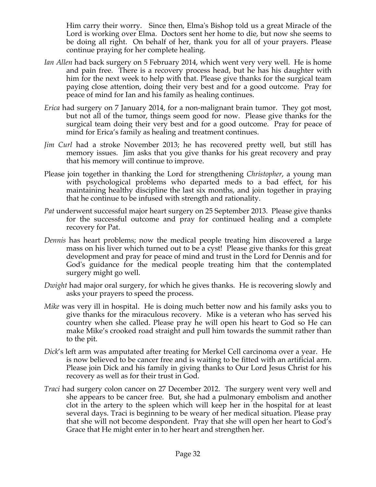Him carry their worry. Since then, Elma's Bishop told us a great Miracle of the Lord is working over Elma. Doctors sent her home to die, but now she seems to be doing all right. On behalf of her, thank you for all of your prayers. Please continue praying for her complete healing.

- *Ian Allen* had back surgery on 5 February 2014, which went very very well. He is home and pain free. There is a recovery process head, but he has his daughter with him for the next week to help with that. Please give thanks for the surgical team paying close attention, doing their very best and for a good outcome. Pray for peace of mind for Ian and his family as healing continues.
- *Erica* had surgery on 7 January 2014, for a non-malignant brain tumor. They got most, but not all of the tumor, things seem good for now. Please give thanks for the surgical team doing their very best and for a good outcome. Pray for peace of mind for Erica's family as healing and treatment continues.
- *Jim Curl* had a stroke November 2013; he has recovered pretty well, but still has memory issues. Jim asks that you give thanks for his great recovery and pray that his memory will continue to improve.
- Please join together in thanking the Lord for strengthening *Christopher*, a young man with psychological problems who departed meds to a bad effect, for his maintaining healthy discipline the last six months, and join together in praying that he continue to be infused with strength and rationality.
- *Pat* underwent successful major heart surgery on 25 September 2013. Please give thanks for the successful outcome and pray for continued healing and a complete recovery for Pat.
- *Dennis* has heart problems; now the medical people treating him discovered a large mass on his liver which turned out to be a cyst! Please give thanks for this great development and pray for peace of mind and trust in the Lord for Dennis and for God's guidance for the medical people treating him that the contemplated surgery might go well.
- *Dwight* had major oral surgery, for which he gives thanks. He is recovering slowly and asks your prayers to speed the process.
- *Mike* was very ill in hospital. He is doing much better now and his family asks you to give thanks for the miraculous recovery. Mike is a veteran who has served his country when she called. Please pray he will open his heart to God so He can make Mike's crooked road straight and pull him towards the summit rather than to the pit.
- *Dick*'s left arm was amputated after treating for Merkel Cell carcinoma over a year. He is now believed to be cancer free and is waiting to be fitted with an artificial arm. Please join Dick and his family in giving thanks to Our Lord Jesus Christ for his recovery as well as for their trust in God.
- *Traci* had surgery colon cancer on 27 December 2012. The surgery went very well and she appears to be cancer free. But, she had a pulmonary embolism and another clot in the artery to the spleen which will keep her in the hospital for at least several days. Traci is beginning to be weary of her medical situation. Please pray that she will not become despondent. Pray that she will open her heart to God's Grace that He might enter in to her heart and strengthen her.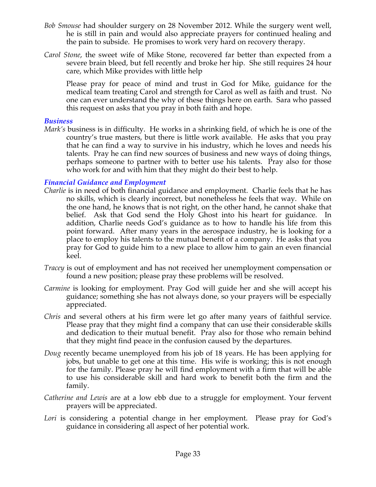- *Bob Smouse* had shoulder surgery on 28 November 2012. While the surgery went well, he is still in pain and would also appreciate prayers for continued healing and the pain to subside. He promises to work very hard on recovery therapy.
- *Carol Stone*, the sweet wife of Mike Stone, recovered far better than expected from a severe brain bleed, but fell recently and broke her hip. She still requires 24 hour care, which Mike provides with little help

Please pray for peace of mind and trust in God for Mike, guidance for the medical team treating Carol and strength for Carol as well as faith and trust. No one can ever understand the why of these things here on earth. Sara who passed this request on asks that you pray in both faith and hope.

#### *Business*

*Mark's* business is in difficulty. He works in a shrinking field, of which he is one of the country's true masters, but there is little work available. He asks that you pray that he can find a way to survive in his industry, which he loves and needs his talents. Pray he can find new sources of business and new ways of doing things, perhaps someone to partner with to better use his talents. Pray also for those who work for and with him that they might do their best to help.

#### *Financial Guidance and Employment*

- *Charlie* is in need of both financial guidance and employment. Charlie feels that he has no skills, which is clearly incorrect, but nonetheless he feels that way. While on the one hand, he knows that is not right, on the other hand, he cannot shake that belief. Ask that God send the Holy Ghost into his heart for guidance. In addition, Charlie needs God's guidance as to how to handle his life from this point forward. After many years in the aerospace industry, he is looking for a place to employ his talents to the mutual benefit of a company. He asks that you pray for God to guide him to a new place to allow him to gain an even financial keel.
- *Tracey* is out of employment and has not received her unemployment compensation or found a new position; please pray these problems will be resolved.
- *Carmine* is looking for employment. Pray God will guide her and she will accept his guidance; something she has not always done, so your prayers will be especially appreciated.
- *Chris* and several others at his firm were let go after many years of faithful service. Please pray that they might find a company that can use their considerable skills and dedication to their mutual benefit. Pray also for those who remain behind that they might find peace in the confusion caused by the departures.
- *Doug* recently became unemployed from his job of 18 years. He has been applying for jobs, but unable to get one at this time. His wife is working; this is not enough for the family. Please pray he will find employment with a firm that will be able to use his considerable skill and hard work to benefit both the firm and the family.
- *Catherine and Lewis* are at a low ebb due to a struggle for employment. Your fervent prayers will be appreciated.
- *Lori* is considering a potential change in her employment. Please pray for God's guidance in considering all aspect of her potential work.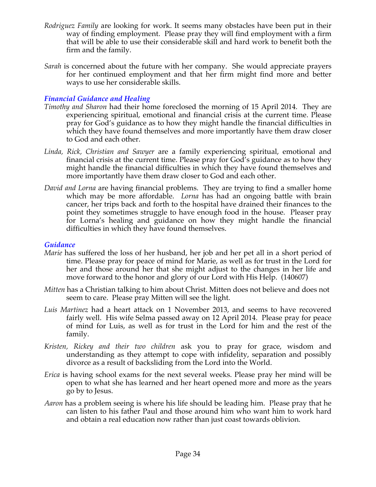- *Rodriguez Family* are looking for work. It seems many obstacles have been put in their way of finding employment. Please pray they will find employment with a firm that will be able to use their considerable skill and hard work to benefit both the firm and the family.
- *Sarah* is concerned about the future with her company. She would appreciate prayers for her continued employment and that her firm might find more and better ways to use her considerable skills.

### *Financial Guidance and Healing*

- *Timothy and Sharon* had their home foreclosed the morning of 15 April 2014. They are experiencing spiritual, emotional and financial crisis at the current time. Please pray for God's guidance as to how they might handle the financial difficulties in which they have found themselves and more importantly have them draw closer to God and each other.
- *Linda, Rick, Christian and Sawyer* are a family experiencing spiritual, emotional and financial crisis at the current time. Please pray for God's guidance as to how they might handle the financial difficulties in which they have found themselves and more importantly have them draw closer to God and each other.
- *David and Lorna* are having financial problems. They are trying to find a smaller home which may be more affordable. *Lorna* has had an ongoing battle with brain cancer, her trips back and forth to the hospital have drained their finances to the point they sometimes struggle to have enough food in the house. Pleaser pray for Lorna's healing and guidance on how they might handle the financial difficulties in which they have found themselves.

#### *Guidance*

- *Marie* has suffered the loss of her husband, her job and her pet all in a short period of time. Please pray for peace of mind for Marie, as well as for trust in the Lord for her and those around her that she might adjust to the changes in her life and move forward to the honor and glory of our Lord with His Help. (140607)
- *Mitten* has a Christian talking to him about Christ. Mitten does not believe and does not seem to care. Please pray Mitten will see the light.
- *Luis Martinez* had a heart attack on 1 November 2013, and seems to have recovered fairly well. His wife Selma passed away on 12 April 2014. Please pray for peace of mind for Luis, as well as for trust in the Lord for him and the rest of the family.
- *Kristen, Rickey and their two children* ask you to pray for grace, wisdom and understanding as they attempt to cope with infidelity, separation and possibly divorce as a result of backsliding from the Lord into the World.
- *Erica* is having school exams for the next several weeks. Please pray her mind will be open to what she has learned and her heart opened more and more as the years go by to Jesus.
- *Aaron* has a problem seeing is where his life should be leading him. Please pray that he can listen to his father Paul and those around him who want him to work hard and obtain a real education now rather than just coast towards oblivion.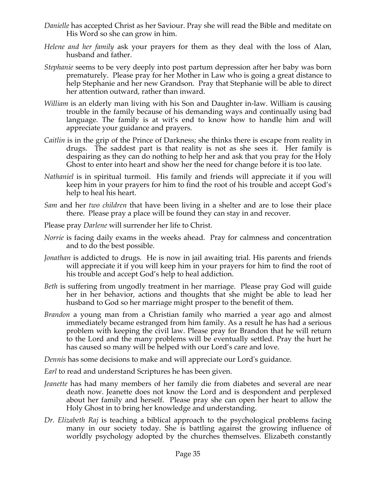- *Danielle* has accepted Christ as her Saviour. Pray she will read the Bible and meditate on His Word so she can grow in him.
- *Helene and her family* ask your prayers for them as they deal with the loss of Alan, husband and father.
- *Stephanie* seems to be very deeply into post partum depression after her baby was born prematurely. Please pray for her Mother in Law who is going a great distance to help Stephanie and her new Grandson. Pray that Stephanie will be able to direct her attention outward, rather than inward.
- *William* is an elderly man living with his Son and Daughter in-law. William is causing trouble in the family because of his demanding ways and continually using bad language. The family is at wit's end to know how to handle him and will appreciate your guidance and prayers.
- *Caitlin* is in the grip of the Prince of Darkness; she thinks there is escape from reality in drugs. The saddest part is that reality is not as she sees it. Her family is despairing as they can do nothing to help her and ask that you pray for the Holy Ghost to enter into heart and show her the need for change before it is too late.
- *Nathaniel* is in spiritual turmoil. His family and friends will appreciate it if you will keep him in your prayers for him to find the root of his trouble and accept God's help to heal his heart.
- *Sam* and her *two children* that have been living in a shelter and are to lose their place there. Please pray a place will be found they can stay in and recover.
- Please pray *Darlene* will surrender her life to Christ.
- *Norrie* is facing daily exams in the weeks ahead. Pray for calmness and concentration and to do the best possible.
- *Jonathan* is addicted to drugs. He is now in jail awaiting trial. His parents and friends will appreciate it if you will keep him in your prayers for him to find the root of his trouble and accept God's help to heal addiction.
- *Beth* is suffering from ungodly treatment in her marriage. Please pray God will guide her in her behavior, actions and thoughts that she might be able to lead her husband to God so her marriage might prosper to the benefit of them.
- *Brandon* a young man from a Christian family who married a year ago and almost immediately became estranged from him family. As a result he has had a serious problem with keeping the civil law. Please pray for Brandon that he will return to the Lord and the many problems will be eventually settled. Pray the hurt he has caused so many will be helped with our Lord's care and love.

*Dennis* has some decisions to make and will appreciate our Lord's guidance.

- *Earl* to read and understand Scriptures he has been given.
- *Jeanette* has had many members of her family die from diabetes and several are near death now. Jeanette does not know the Lord and is despondent and perplexed about her family and herself. Please pray she can open her heart to allow the Holy Ghost in to bring her knowledge and understanding.
- *Dr. Elizabeth Raj* is teaching a biblical approach to the psychological problems facing many in our society today. She is battling against the growing influence of worldly psychology adopted by the churches themselves. Elizabeth constantly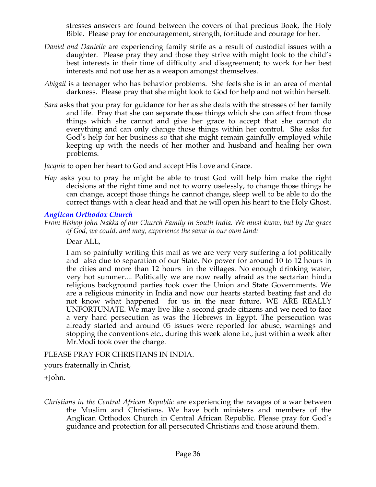stresses answers are found between the covers of that precious Book, the Holy Bible. Please pray for encouragement, strength, fortitude and courage for her.

- *Daniel and Danielle* are experiencing family strife as a result of custodial issues with a daughter. Please pray they and those they strive with might look to the child's best interests in their time of difficulty and disagreement; to work for her best interests and not use her as a weapon amongst themselves.
- *Abigail* is a teenager who has behavior problems. She feels she is in an area of mental darkness. Please pray that she might look to God for help and not within herself.
- *Sara* asks that you pray for guidance for her as she deals with the stresses of her family and life. Pray that she can separate those things which she can affect from those things which she cannot and give her grace to accept that she cannot do everything and can only change those things within her control. She asks for God's help for her business so that she might remain gainfully employed while keeping up with the needs of her mother and husband and healing her own problems.

*Jacquie* to open her heart to God and accept His Love and Grace.

*Hap* asks you to pray he might be able to trust God will help him make the right decisions at the right time and not to worry uselessly, to change those things he can change, accept those things he cannot change, sleep well to be able to do the correct things with a clear head and that he will open his heart to the Holy Ghost.

### *Anglican Orthodox Church*

*From Bishop John Nakka of our Church Family in South India. We must know, but by the grace of God, we could, and may, experience the same in our own land:*

Dear ALL,

I am so painfully writing this mail as we are very very suffering a lot politically and also due to separation of our State. No power for around 10 to 12 hours in the cities and more than 12 hours in the villages. No enough drinking water, very hot summer.... Politically we are now really afraid as the sectarian hindu religious background parties took over the Union and State Governments. We are a religious minority in India and now our hearts started beating fast and do not know what happened for us in the near future. WE ARE REALLY UNFORTUNATE. We may live like a second grade citizens and we need to face a very hard persecution as was the Hebrews in Egypt. The persecution was already started and around 05 issues were reported for abuse, warnings and stopping the conventions etc., during this week alone i.e., just within a week after Mr.Modi took over the charge.

### PLEASE PRAY FOR CHRISTIANS IN INDIA.

yours fraternally in Christ,

+John.

*Christians in the Central African Republic* are experiencing the ravages of a war between the Muslim and Christians. We have both ministers and members of the Anglican Orthodox Church in Central African Republic. Please pray for God's guidance and protection for all persecuted Christians and those around them.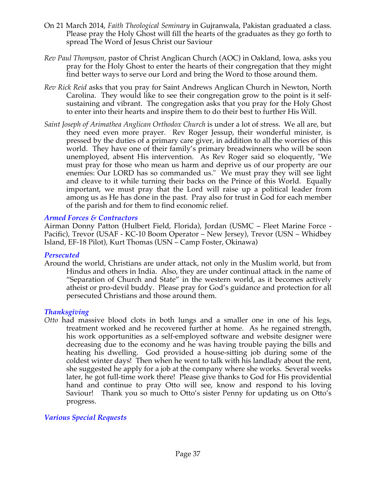- On 21 March 2014, *Faith Theological Seminary* in Gujranwala, Pakistan graduated a class. Please pray the Holy Ghost will fill the hearts of the graduates as they go forth to spread The Word of Jesus Christ our Saviour
- *Rev Paul Thompson,* pastor of Christ Anglican Church (AOC) in Oakland, Iowa, asks you pray for the Holy Ghost to enter the hearts of their congregation that they might find better ways to serve our Lord and bring the Word to those around them.
- *Rev Rick Reid* asks that you pray for Saint Andrews Anglican Church in Newton, North Carolina. They would like to see their congregation grow to the point is it selfsustaining and vibrant. The congregation asks that you pray for the Holy Ghost to enter into their hearts and inspire them to do their best to further His Will.
- *Saint Joseph of Arimathea Anglican Orthodox Church* is under a lot of stress. We all are, but they need even more prayer. Rev Roger Jessup, their wonderful minister, is pressed by the duties of a primary care giver, in addition to all the worries of this world. They have one of their family's primary breadwinners who will be soon unemployed, absent His intervention. As Rev Roger said so eloquently, "We must pray for those who mean us harm and deprive us of our property are our enemies: Our LORD has so commanded us." We must pray they will see light and cleave to it while turning their backs on the Prince of this World. Equally important, we must pray that the Lord will raise up a political leader from among us as He has done in the past. Pray also for trust in God for each member of the parish and for them to find economic relief.

### *Armed Forces & Contractors*

Airman Donny Patton (Hulbert Field, Florida), Jordan (USMC – Fleet Marine Force - Pacific), Trevor (USAF - KC-10 Boom Operator – New Jersey), Trevor (USN – Whidbey Island, EF-18 Pilot), Kurt Thomas (USN – Camp Foster, Okinawa)

#### *Persecuted*

Around the world, Christians are under attack, not only in the Muslim world, but from Hindus and others in India. Also, they are under continual attack in the name of "Separation of Church and State" in the western world, as it becomes actively atheist or pro-devil buddy. Please pray for God's guidance and protection for all persecuted Christians and those around them.

#### *Thanksgiving*

*Otto* had massive blood clots in both lungs and a smaller one in one of his legs, treatment worked and he recovered further at home. As he regained strength, his work opportunities as a self-employed software and website designer were decreasing due to the economy and he was having trouble paying the bills and heating his dwelling. God provided a house-sitting job during some of the coldest winter days! Then when he went to talk with his landlady about the rent, she suggested he apply for a job at the company where she works. Several weeks later, he got full-time work there! Please give thanks to God for His providential hand and continue to pray Otto will see, know and respond to his loving Saviour! Thank you so much to Otto's sister Penny for updating us on Otto's progress.

### *Various Special Requests*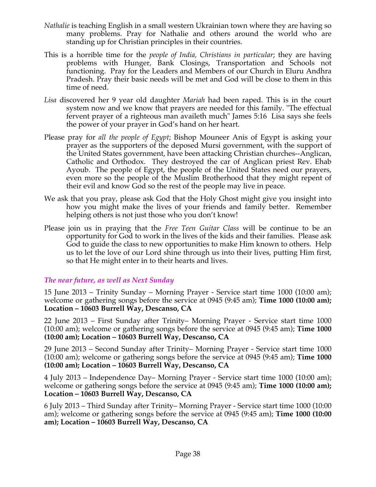- *Nathalie* is teaching English in a small western Ukrainian town where they are having so many problems. Pray for Nathalie and others around the world who are standing up for Christian principles in their countries.
- This is a horrible time for the *people of India, Christians in particular*; they are having problems with Hunger, Bank Closings, Transportation and Schools not functioning. Pray for the Leaders and Members of our Church in Eluru Andhra Pradesh. Pray their basic needs will be met and God will be close to them in this time of need.
- *Lisa* discovered her 9 year old daughter *Mariah* had been raped. This is in the court system now and we know that prayers are needed for this family. "The effectual fervent prayer of a righteous man availeth much" James 5:16 Lisa says she feels the power of your prayer in God's hand on her heart.
- Please pray for *all the people of Egypt*; Bishop Mouneer Anis of Egypt is asking your prayer as the supporters of the deposed Mursi government, with the support of the United States government, have been attacking Christian churches--Anglican, Catholic and Orthodox. They destroyed the car of Anglican priest Rev. Ehab Ayoub. The people of Egypt, the people of the United States need our prayers, even more so the people of the Muslim Brotherhood that they might repent of their evil and know God so the rest of the people may live in peace.
- We ask that you pray, please ask God that the Holy Ghost might give you insight into how you might make the lives of your friends and family better. Remember helping others is not just those who you don't know!
- Please join us in praying that the *Free Teen Guitar Class* will be continue to be an opportunity for God to work in the lives of the kids and their families. Please ask God to guide the class to new opportunities to make Him known to others. Help us to let the love of our Lord shine through us into their lives, putting Him first, so that He might enter in to their hearts and lives.

### *The near future, as well as Next Sunday*

15 June 2013 – Trinity Sunday – Morning Prayer - Service start time 1000 (10:00 am); welcome or gathering songs before the service at 0945 (9:45 am); **Time 1000 (10:00 am); Location – 10603 Burrell Way, Descanso, CA**

22 June 2013 – First Sunday after Trinity– Morning Prayer - Service start time 1000 (10:00 am); welcome or gathering songs before the service at 0945 (9:45 am); **Time 1000 (10:00 am); Location – 10603 Burrell Way, Descanso, CA**

29 June 2013 – Second Sunday after Trinity– Morning Prayer - Service start time 1000 (10:00 am); welcome or gathering songs before the service at 0945 (9:45 am); **Time 1000 (10:00 am); Location – 10603 Burrell Way, Descanso, CA**

4 July 2013 – Independence Day– Morning Prayer - Service start time 1000 (10:00 am); welcome or gathering songs before the service at 0945 (9:45 am); **Time 1000 (10:00 am); Location – 10603 Burrell Way, Descanso, CA**

6 July 2013 – Third Sunday after Trinity– Morning Prayer - Service start time 1000 (10:00 am); welcome or gathering songs before the service at 0945 (9:45 am); **Time 1000 (10:00 am); Location – 10603 Burrell Way, Descanso, CA**